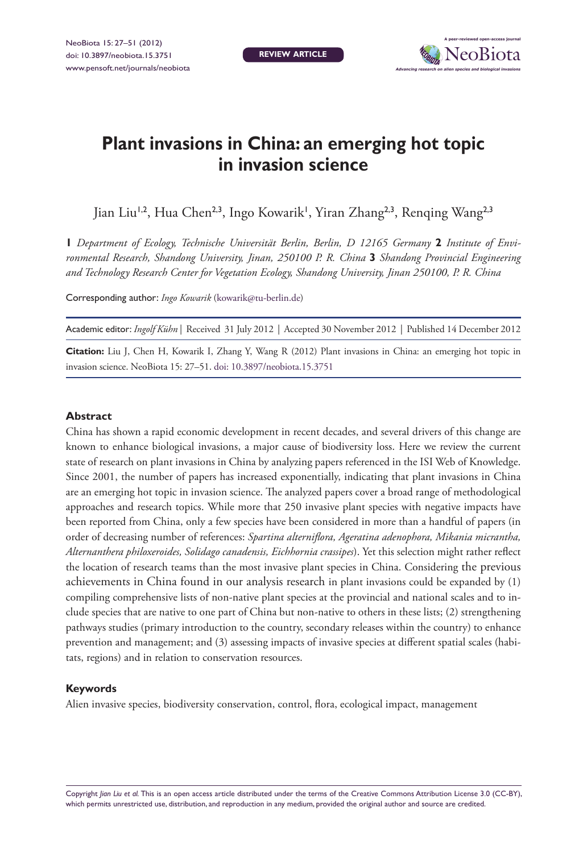**review article**



# **Plant invasions in China: an emerging hot topic in invasion science**

Jian Liu<sup>1,2</sup>, Hua Chen<sup>2,3</sup>, Ingo Kowarik', Yiran Zhang<sup>2,3</sup>, Renqing Wang<sup>2,3</sup>

**1** *Department of Ecology, Technische Universität Berlin, Berlin, D 12165 Germany* **2** *Institute of Environmental Research, Shandong University, Jinan, 250100 P. R. China* **3** *Shandong Provincial Engineering and Technology Research Center for Vegetation Ecology, Shandong University, Jinan 250100, P. R. China*

Corresponding author: *Ingo Kowarik* ([kowarik@tu-berlin.de](mailto:kowarik@tu-berlin.de))

Academic editor: *Ingolf Kühn* | Received 31 July 2012 | Accepted 30 November 2012 | Published 14 December 2012

**Citation:** Liu J, Chen H, Kowarik I, Zhang Y, Wang R (2012) Plant invasions in China: an emerging hot topic in invasion science. NeoBiota 15: 27–51. [doi: 10.3897/neobiota.15.3751](http://dx.doi.org/10.3897/neobiota.15.3751)

## **Abstract**

China has shown a rapid economic development in recent decades, and several drivers of this change are known to enhance biological invasions, a major cause of biodiversity loss. Here we review the current state of research on plant invasions in China by analyzing papers referenced in the ISI Web of Knowledge. Since 2001, the number of papers has increased exponentially, indicating that plant invasions in China are an emerging hot topic in invasion science. The analyzed papers cover a broad range of methodological approaches and research topics. While more that 250 invasive plant species with negative impacts have been reported from China, only a few species have been considered in more than a handful of papers (in order of decreasing number of references: *Spartina alterniflora, Ageratina adenophora, Mikania micrantha, Alternanthera philoxeroides, Solidago canadensis, Eichhornia crassipes*). Yet this selection might rather reflect the location of research teams than the most invasive plant species in China. Considering the previous achievements in China found in our analysis research in plant invasions could be expanded by (1) compiling comprehensive lists of non-native plant species at the provincial and national scales and to include species that are native to one part of China but non-native to others in these lists; (2) strengthening pathways studies (primary introduction to the country, secondary releases within the country) to enhance prevention and management; and (3) assessing impacts of invasive species at different spatial scales (habitats, regions) and in relation to conservation resources.

#### **Keywords**

Alien invasive species, biodiversity conservation, control, flora, ecological impact, management

Copyright *Jian Liu et al.* This is an open access article distributed under the terms of the [Creative Commons Attribution License 3.0 \(CC-BY\)](http://creativecommons.org/licenses/by/3.0/), which permits unrestricted use, distribution, and reproduction in any medium, provided the original author and source are credited.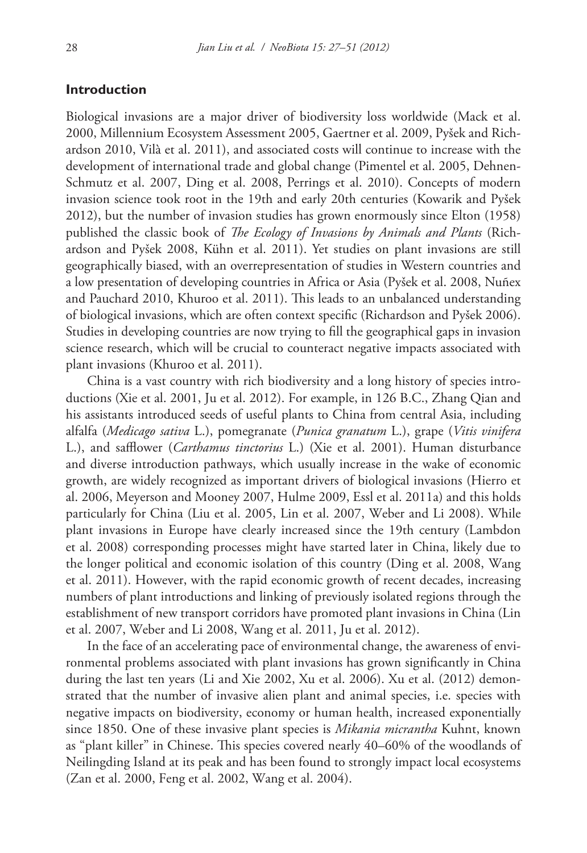# **Introduction**

Biological invasions are a major driver of biodiversity loss worldwide (Mack et al. 2000, Millennium Ecosystem Assessment 2005, Gaertner et al. 2009, Pyšek and Richardson 2010, Vilà et al. 2011), and associated costs will continue to increase with the development of international trade and global change (Pimentel et al. 2005, Dehnen-Schmutz et al. 2007, Ding et al. 2008, Perrings et al. 2010). Concepts of modern invasion science took root in the 19th and early 20th centuries (Kowarik and Pyšek 2012), but the number of invasion studies has grown enormously since Elton (1958) published the classic book of *The Ecology of Invasions by Animals and Plants* (Richardson and Pyšek 2008, Kühn et al. 2011). Yet studies on plant invasions are still geographically biased, with an overrepresentation of studies in Western countries and a low presentation of developing countries in Africa or Asia (Pyšek et al. 2008, Nuñex and Pauchard 2010, Khuroo et al. 2011). This leads to an unbalanced understanding of biological invasions, which are often context specific (Richardson and Pyšek 2006). Studies in developing countries are now trying to fill the geographical gaps in invasion science research, which will be crucial to counteract negative impacts associated with plant invasions (Khuroo et al. 2011).

China is a vast country with rich biodiversity and a long history of species introductions (Xie et al. 2001, Ju et al. 2012). For example, in 126 B.C., Zhang Qian and his assistants introduced seeds of useful plants to China from central Asia, including alfalfa (*Medicago sativa* L.), pomegranate (*Punica granatum* L.), grape (*Vitis vinifera*  L.), and safflower (*Carthamus tinctorius* L.) (Xie et al. 2001). Human disturbance and diverse introduction pathways, which usually increase in the wake of economic growth, are widely recognized as important drivers of biological invasions (Hierro et al. 2006, Meyerson and Mooney 2007, Hulme 2009, Essl et al. 2011a) and this holds particularly for China (Liu et al. 2005, Lin et al. 2007, Weber and Li 2008). While plant invasions in Europe have clearly increased since the 19th century (Lambdon et al. 2008) corresponding processes might have started later in China, likely due to the longer political and economic isolation of this country (Ding et al. 2008, Wang et al. 2011). However, with the rapid economic growth of recent decades, increasing numbers of plant introductions and linking of previously isolated regions through the establishment of new transport corridors have promoted plant invasions in China (Lin et al. 2007, Weber and Li 2008, Wang et al. 2011, Ju et al. 2012).

In the face of an accelerating pace of environmental change, the awareness of environmental problems associated with plant invasions has grown significantly in China during the last ten years (Li and Xie 2002, Xu et al. 2006). Xu et al. (2012) demonstrated that the number of invasive alien plant and animal species, i.e. species with negative impacts on biodiversity, economy or human health, increased exponentially since 1850. One of these invasive plant species is *Mikania micrantha* Kuhnt, known as "plant killer" in Chinese. This species covered nearly 40–60% of the woodlands of Neilingding Island at its peak and has been found to strongly impact local ecosystems (Zan et al. 2000, Feng et al. 2002, Wang et al. 2004).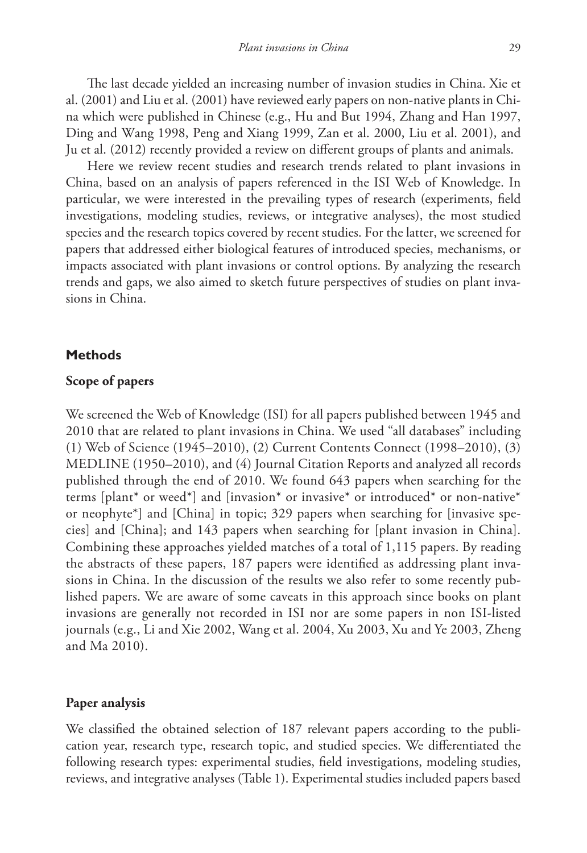The last decade yielded an increasing number of invasion studies in China. Xie et al. (2001) and Liu et al. (2001) have reviewed early papers on non-native plants in China which were published in Chinese (e.g., Hu and But 1994, Zhang and Han 1997, Ding and Wang 1998, Peng and Xiang 1999, Zan et al. 2000, Liu et al. 2001), and Ju et al. (2012) recently provided a review on different groups of plants and animals.

Here we review recent studies and research trends related to plant invasions in China, based on an analysis of papers referenced in the ISI Web of Knowledge. In particular, we were interested in the prevailing types of research (experiments, field investigations, modeling studies, reviews, or integrative analyses), the most studied species and the research topics covered by recent studies. For the latter, we screened for papers that addressed either biological features of introduced species, mechanisms, or impacts associated with plant invasions or control options. By analyzing the research trends and gaps, we also aimed to sketch future perspectives of studies on plant invasions in China.

# **Methods**

## **Scope of papers**

We screened the Web of Knowledge (ISI) for all papers published between 1945 and 2010 that are related to plant invasions in China. We used "all databases" including (1) Web of Science (1945–2010), (2) Current Contents Connect (1998–2010), (3) MEDLINE (1950–2010), and (4) Journal Citation Reports and analyzed all records published through the end of 2010. We found 643 papers when searching for the terms [plant\* or weed\*] and [invasion\* or invasive\* or introduced\* or non-native\* or neophyte\*] and [China] in topic; 329 papers when searching for [invasive species] and [China]; and 143 papers when searching for [plant invasion in China]. Combining these approaches yielded matches of a total of 1,115 papers. By reading the abstracts of these papers, 187 papers were identified as addressing plant invasions in China. In the discussion of the results we also refer to some recently published papers. We are aware of some caveats in this approach since books on plant invasions are generally not recorded in ISI nor are some papers in non ISI-listed journals (e.g., Li and Xie 2002, Wang et al. 2004, Xu 2003, Xu and Ye 2003, Zheng and Ma 2010).

# **Paper analysis**

We classified the obtained selection of 187 relevant papers according to the publication year, research type, research topic, and studied species. We differentiated the following research types: experimental studies, field investigations, modeling studies, reviews, and integrative analyses (Table 1). Experimental studies included papers based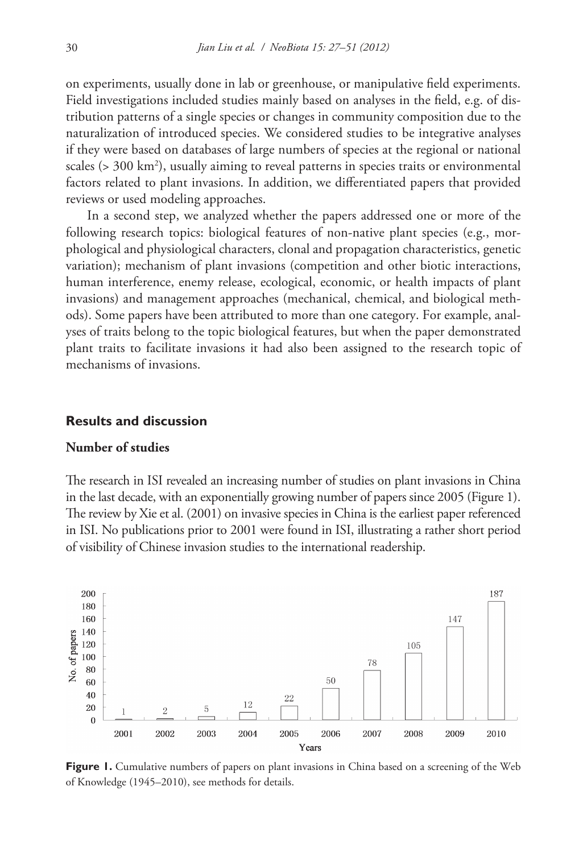on experiments, usually done in lab or greenhouse, or manipulative field experiments. Field investigations included studies mainly based on analyses in the field, e.g. of distribution patterns of a single species or changes in community composition due to the naturalization of introduced species. We considered studies to be integrative analyses if they were based on databases of large numbers of species at the regional or national scales (> 300 km<sup>2</sup>), usually aiming to reveal patterns in species traits or environmental factors related to plant invasions. In addition, we differentiated papers that provided reviews or used modeling approaches.

In a second step, we analyzed whether the papers addressed one or more of the following research topics: biological features of non-native plant species (e.g., morphological and physiological characters, clonal and propagation characteristics, genetic variation); mechanism of plant invasions (competition and other biotic interactions, human interference, enemy release, ecological, economic, or health impacts of plant invasions) and management approaches (mechanical, chemical, and biological methods). Some papers have been attributed to more than one category. For example, analyses of traits belong to the topic biological features, but when the paper demonstrated plant traits to facilitate invasions it had also been assigned to the research topic of mechanisms of invasions.

#### **Results and discussion**

# **Number of studies**

The research in ISI revealed an increasing number of studies on plant invasions in China in the last decade, with an exponentially growing number of papers since 2005 (Figure 1). The review by Xie et al. (2001) on invasive species in China is the earliest paper referenced in ISI. No publications prior to 2001 were found in ISI, illustrating a rather short period of visibility of Chinese invasion studies to the international readership.



Figure 1. Cumulative numbers of papers on plant invasions in China based on a screening of the Web of Knowledge (1945–2010), see methods for details.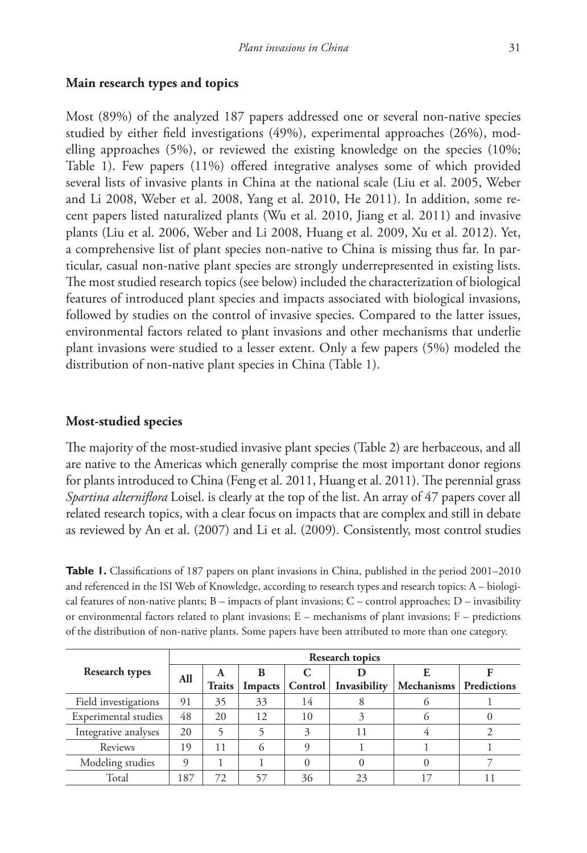# **Main research types and topics**

Most (89%) of the analyzed 187 papers addressed one or several non-native species studied by either field investigations (49%), experimental approaches (26%), modelling approaches (5%), or reviewed the existing knowledge on the species (10%; Table 1). Few papers (11%) offered integrative analyses some of which provided several lists of invasive plants in China at the national scale (Liu et al. 2005, Weber and Li 2008, Weber et al. 2008, Yang et al. 2010, He 2011). In addition, some recent papers listed naturalized plants (Wu et al. 2010, Jiang et al. 2011) and invasive plants (Liu et al. 2006, Weber and Li 2008, Huang et al. 2009, Xu et al. 2012). Yet, a comprehensive list of plant species non-native to China is missing thus far. In particular, casual non-native plant species are strongly underrepresented in existing lists. The most studied research topics (see below) included the characterization of biological features of introduced plant species and impacts associated with biological invasions, followed by studies on the control of invasive species. Compared to the latter issues, environmental factors related to plant invasions and other mechanisms that underlie plant invasions were studied to a lesser extent. Only a few papers (5%) modeled the distribution of non-native plant species in China (Table 1).

# **Most-studied species**

The majority of the most-studied invasive plant species (Table 2) are herbaceous, and all are native to the Americas which generally comprise the most important donor regions for plants introduced to China (Feng et al. 2011, Huang et al. 2011). The perennial grass *Spartina alterniflora* Loisel. is clearly at the top of the list. An array of 47 papers cover all related research topics, with a clear focus on impacts that are complex and still in debate as reviewed by An et al. (2007) and Li et al. (2009). Consistently, most control studies

**Table 1.** Classifications of 187 papers on plant invasions in China, published in the period 2001–2010 and referenced in the ISI Web of Knowledge, according to research types and research topics: A – biological features of non-native plants;  $B$  – impacts of plant invasions;  $C$  – control approaches;  $D$  – invasibility or environmental factors related to plant invasions; E – mechanisms of plant invasions; F – predictions of the distribution of non-native plants. Some papers have been attributed to more than one category.

|                       | Research topics |               |         |                |              |                          |  |  |  |  |
|-----------------------|-----------------|---------------|---------|----------------|--------------|--------------------------|--|--|--|--|
| <b>Research types</b> | All             | A             | B       |                |              |                          |  |  |  |  |
|                       |                 | <b>Traits</b> | Impacts | <b>Control</b> | Invasibility | Mechanisms   Predictions |  |  |  |  |
| Field investigations  | 91              | 35            | 33      | 14             |              |                          |  |  |  |  |
| Experimental studies  | 48              | 20            | 12      | 10             |              |                          |  |  |  |  |
| Integrative analyses  | 20              |               |         |                | 11           |                          |  |  |  |  |
| Reviews               | 19              | 11            |         |                |              |                          |  |  |  |  |
| Modeling studies      |                 |               |         |                |              |                          |  |  |  |  |
| Total                 | 187             | 72            | 57      | 36             | 23           |                          |  |  |  |  |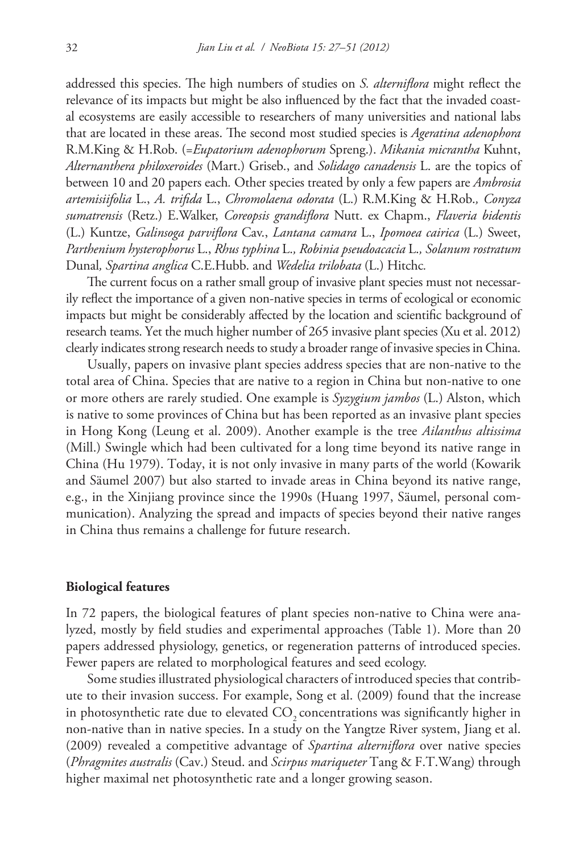addressed this species. The high numbers of studies on *S. alterniflora* might reflect the relevance of its impacts but might be also influenced by the fact that the invaded coastal ecosystems are easily accessible to researchers of many universities and national labs that are located in these areas. The second most studied species is *Ageratina adenophora*  R.M.King & H.Rob. (=*Eupatorium adenophorum* Spreng.). *Mikania micrantha* Kuhnt, *Alternanthera philoxeroides* (Mart.) Griseb., and *Solidago canadensis* L. are the topics of between 10 and 20 papers each*.* Other species treated by only a few papers are *Ambrosia artemisiifolia* L., *A. trifida* L., *Chromolaena odorata* (L.) R.M.King & H.Rob.*, Conyza sumatrensis* (Retz.) E.Walker, *Coreopsis grandiflora* Nutt. ex Chapm., *Flaveria bidentis*  (L.) Kuntze, *Galinsoga parviflora* Cav., *Lantana camara* L., *Ipomoea cairica* (L.) Sweet, *Parthenium hysterophorus* L., *Rhus typhina* L.*, Robinia pseudoacacia* L.*, Solanum rostratum* Dunal*, Spartina anglica* C.E.Hubb. and *Wedelia trilobata* (L.) Hitchc*.*

The current focus on a rather small group of invasive plant species must not necessarily reflect the importance of a given non-native species in terms of ecological or economic impacts but might be considerably affected by the location and scientific background of research teams. Yet the much higher number of 265 invasive plant species (Xu et al. 2012) clearly indicates strong research needs to study a broader range of invasive species in China.

Usually, papers on invasive plant species address species that are non-native to the total area of China. Species that are native to a region in China but non-native to one or more others are rarely studied. One example is *Syzygium jambos* [\(L.\) Alston,](http://www.itis.gov/servlet/SingleRpt/RefRpt?search_type=author&search_id=author_id&search_id_value=47918) which is native to some provinces of China but has been reported as an invasive plant species in Hong Kong (Leung et al. 2009). Another example is the tree *Ailanthus altissima* (Mill.) Swingle which had been cultivated for a long time beyond its native range in China (Hu 1979). Today, it is not only invasive in many parts of the world (Kowarik and Säumel 2007) but also started to invade areas in China beyond its native range, e.g., in the Xinjiang province since the 1990s (Huang 1997, Säumel, personal communication). Analyzing the spread and impacts of species beyond their native ranges in China thus remains a challenge for future research.

# **Biological features**

In 72 papers, the biological features of plant species non-native to China were analyzed, mostly by field studies and experimental approaches (Table 1). More than 20 papers addressed physiology, genetics, or regeneration patterns of introduced species. Fewer papers are related to morphological features and seed ecology.

Some studies illustrated physiological characters of introduced species that contribute to their invasion success. For example, Song et al. (2009) found that the increase in photosynthetic rate due to elevated CO<sub>2</sub> concentrations was significantly higher in non-native than in native species. In a study on the Yangtze River system, Jiang et al. (2009) revealed a competitive advantage of *Spartina alterniflora* over native species (*Phragmites australis* (Cav.) Steud. and *Scirpus mariqueter* Tang & F.T.Wang) through higher maximal net photosynthetic rate and a longer growing season.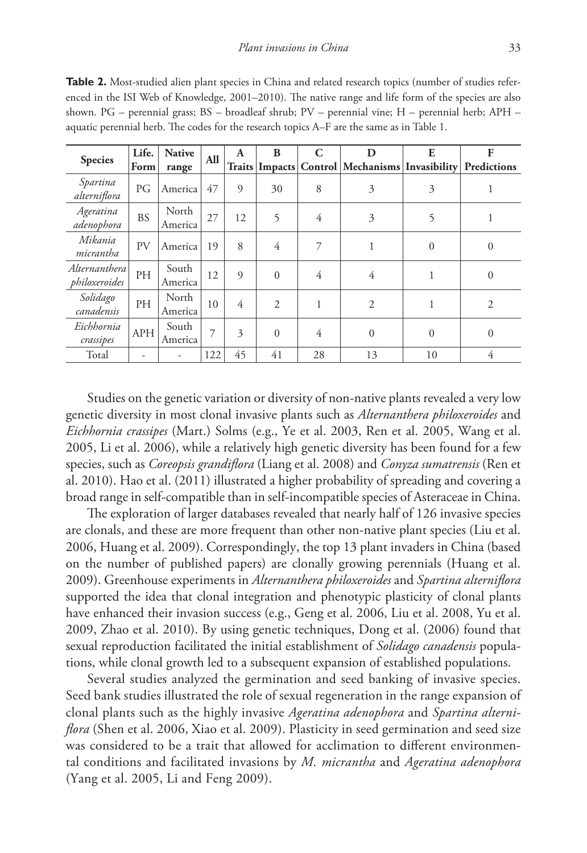| <b>Species</b>                 | Life.<br>Form | <b>Native</b>    | <b>All</b> | $\mathbf{A}$   | B                | C  | D                                                        | E              | F              |
|--------------------------------|---------------|------------------|------------|----------------|------------------|----|----------------------------------------------------------|----------------|----------------|
|                                |               | range            |            |                | Traits   Impacts |    | <b>Control   Mechanisms   Invasibility   Predictions</b> |                |                |
| Spartina<br>alterniflora       | PG            | America          | 47         | 9              | 30               | 8  | 3                                                        | 3              |                |
| Ageratina<br>adenophora        | <b>BS</b>     | North<br>America | 27         | 12             | 5                | 4  | 3                                                        | 5              |                |
| Mikania<br>micrantha           | <b>PV</b>     | America          | 19         | 8              | 4                | 7  | 1                                                        | $\mathbf{0}$   | $\overline{0}$ |
| Alternanthera<br>philoxeroides | PH            | South<br>America | 12         | $\overline{Q}$ | $\Omega$         | 4  | 4                                                        |                | $\overline{0}$ |
| Solidago<br>canadensis         | PH            | North<br>America | 10         | 4              | $\overline{2}$   | 1  | $\overline{2}$                                           |                | $\overline{2}$ |
| Eichhornia<br>crassipes        | <b>APH</b>    | South<br>America | 7          | 3              | $\Omega$         | 4  | $\boldsymbol{0}$                                         | $\overline{0}$ | $\mathbf{0}$   |
| Total                          |               |                  | 122        | 45             | 41               | 28 | 13                                                       | 10             | 4              |

**Table 2.** Most-studied alien plant species in China and related research topics (number of studies referenced in the ISI Web of Knowledge, 2001–2010). The native range and life form of the species are also shown. PG – perennial grass; BS – broadleaf shrub; PV – perennial vine; H – perennial herb; APH – aquatic perennial herb. The codes for the research topics A–F are the same as in Table 1.

Studies on the genetic variation or diversity of non-native plants revealed a very low genetic diversity in most clonal invasive plants such as *Alternanthera philoxeroides* and *Eichhornia crassipes* (Mart.) Solms (e.g., Ye et al. 2003, Ren et al. 2005, Wang et al. 2005, Li et al. 2006), while a relatively high genetic diversity has been found for a few species, such as *Coreopsis grandiflora* (Liang et al. 2008) and *Conyza sumatrensis* (Ren et al. 2010). Hao et al. (2011) illustrated a higher probability of spreading and covering a broad range in self-compatible than in self-incompatible species of Asteraceae in China.

The exploration of larger databases revealed that nearly half of 126 invasive species are clonals, and these are more frequent than other non-native plant species (Liu et al. 2006, Huang et al. 2009). Correspondingly, the top 13 plant invaders in China (based on the number of published papers) are clonally growing perennials (Huang et al. 2009). Greenhouse experiments in *Alternanthera philoxeroides* and *Spartina alterniflora* supported the idea that clonal integration and phenotypic plasticity of clonal plants have enhanced their invasion success (e.g., Geng et al. 2006, Liu et al. 2008, Yu et al. 2009, Zhao et al. 2010). By using genetic techniques, Dong et al. (2006) found that sexual reproduction facilitated the initial establishment of *Solidago canadensis* populations, while clonal growth led to a subsequent expansion of established populations.

Several studies analyzed the germination and seed banking of invasive species. Seed bank studies illustrated the role of sexual regeneration in the range expansion of clonal plants such as the highly invasive *Ageratina adenophora* and *Spartina alterniflora* (Shen et al. 2006, Xiao et al. 2009). Plasticity in seed germination and seed size was considered to be a trait that allowed for acclimation to different environmental conditions and facilitated invasions by *M. micrantha* and *Ageratina adenophora* (Yang et al. 2005, Li and Feng 2009).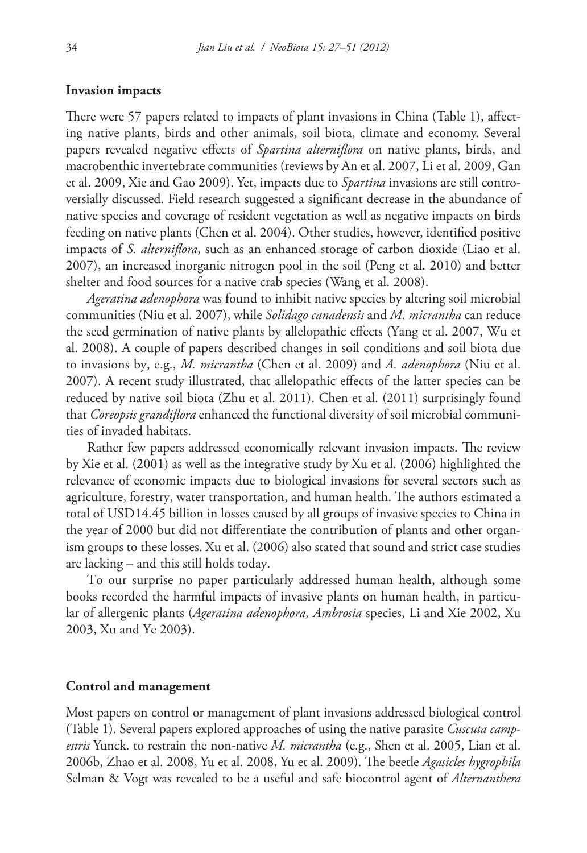## **Invasion impacts**

There were 57 papers related to impacts of plant invasions in China (Table 1), affecting native plants, birds and other animals, soil biota, climate and economy. Several papers revealed negative effects of *Spartina alterniflora* on native plants, birds, and macrobenthic invertebrate communities (reviews by An et al. 2007, Li et al. 2009, Gan et al. 2009, Xie and Gao 2009). Yet, impacts due to *Spartina* invasions are still controversially discussed. Field research suggested a significant decrease in the abundance of native species and coverage of resident vegetation as well as negative impacts on birds feeding on native plants (Chen et al. 2004). Other studies, however, identified positive impacts of *S. alterniflora*, such as an enhanced storage of carbon dioxide (Liao et al. 2007), an increased inorganic nitrogen pool in the soil (Peng et al. 2010) and better shelter and food sources for a native crab species (Wang et al. 2008).

*Ageratina adenophora* was found to inhibit native species by altering soil microbial communities (Niu et al. 2007), while *Solidago canadensis* and *M. micrantha* can reduce the seed germination of native plants by allelopathic effects (Yang et al. 2007, Wu et al. 2008). A couple of papers described changes in soil conditions and soil biota due to invasions by, e.g., *M. micrantha* (Chen et al. 2009) and *A. adenophora* (Niu et al. 2007). A recent study illustrated, that allelopathic effects of the latter species can be reduced by native soil biota (Zhu et al. 2011). Chen et al. (2011) surprisingly found that *Coreopsis grandiflora* enhanced the functional diversity of soil microbial communities of invaded habitats.

Rather few papers addressed economically relevant invasion impacts. The review by Xie et al. (2001) as well as the integrative study by Xu et al. (2006) highlighted the relevance of economic impacts due to biological invasions for several sectors such as agriculture, forestry, water transportation, and human health. The authors estimated a total of USD14.45 billion in losses caused by all groups of invasive species to China in the year of 2000 but did not differentiate the contribution of plants and other organism groups to these losses. Xu et al. (2006) also stated that sound and strict case studies are lacking – and this still holds today.

To our surprise no paper particularly addressed human health, although some books recorded the harmful impacts of invasive plants on human health, in particular of allergenic plants (*Ageratina adenophora, Ambrosia* species, Li and Xie 2002, Xu 2003, Xu and Ye 2003).

#### **Control and management**

Most papers on control or management of plant invasions addressed biological control (Table 1). Several papers explored approaches of using the native parasite *Cuscuta campestris* Yunck. to restrain the non-native *M. micrantha* (e.g., Shen et al. 2005, Lian et al. 2006b, Zhao et al. 2008, Yu et al. 2008, Yu et al. 2009). The beetle *Agasicles hygrophila* Selman & Vogt was revealed to be a useful and safe biocontrol agent of *Alternanthera*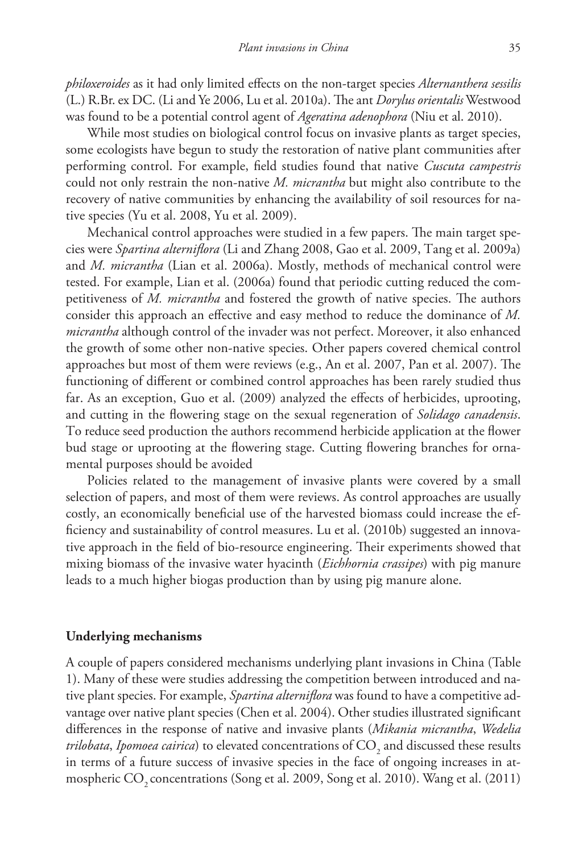*philoxeroides* as it had only limited effects on the non-target species *Alternanthera sessilis*  (L.) R.Br. ex DC. (Li and Ye 2006, Lu et al. 2010a). The ant *Dorylus orientalis* Westwood was found to be a potential control agent of *Ageratina adenophora* (Niu et al. 2010).

While most studies on biological control focus on invasive plants as target species, some ecologists have begun to study the restoration of native plant communities after performing control. For example, field studies found that native *Cuscuta campestris* could not only restrain the non-native *M. micrantha* but might also contribute to the recovery of native communities by enhancing the availability of soil resources for native species (Yu et al. 2008, Yu et al. 2009).

Mechanical control approaches were studied in a few papers. The main target species were *Spartina alterniflora* (Li and Zhang 2008, Gao et al. 2009, Tang et al. 2009a) and *M. micrantha* (Lian et al. 2006a). Mostly, methods of mechanical control were tested. For example, Lian et al. (2006a) found that periodic cutting reduced the competitiveness of *M. micrantha* and fostered the growth of native species. The authors consider this approach an effective and easy method to reduce the dominance of *M. micrantha* although control of the invader was not perfect. Moreover, it also enhanced the growth of some other non-native species. Other papers covered chemical control approaches but most of them were reviews (e.g., An et al. 2007, Pan et al. 2007). The functioning of different or combined control approaches has been rarely studied thus far. As an exception, Guo et al. (2009) analyzed the effects of herbicides, uprooting, and cutting in the flowering stage on the sexual regeneration of *Solidago canadensis*. To reduce seed production the authors recommend herbicide application at the flower bud stage or uprooting at the flowering stage. Cutting flowering branches for ornamental purposes should be avoided

Policies related to the management of invasive plants were covered by a small selection of papers, and most of them were reviews. As control approaches are usually costly, an economically beneficial use of the harvested biomass could increase the efficiency and sustainability of control measures. Lu et al. (2010b) suggested an innovative approach in the field of bio-resource engineering. Their experiments showed that mixing biomass of the invasive water hyacinth (*Eichhornia crassipes*) with pig manure leads to a much higher biogas production than by using pig manure alone.

# **Underlying mechanisms**

A couple of papers considered mechanisms underlying plant invasions in China (Table 1). Many of these were studies addressing the competition between introduced and native plant species. For example, *Spartina alterniflora* was found to have a competitive advantage over native plant species (Chen et al. 2004). Other studies illustrated significant differences in the response of native and invasive plants (*Mikania micrantha*, *Wedelia trilobata, Ipomoea cairica*) to elevated concentrations of  $\mathrm{CO}_\mathrm{2}$  and discussed these results in terms of a future success of invasive species in the face of ongoing increases in atmospheric CO<sub>2</sub> concentrations (Song et al. 2009, Song et al. 2010). Wang et al. (2011)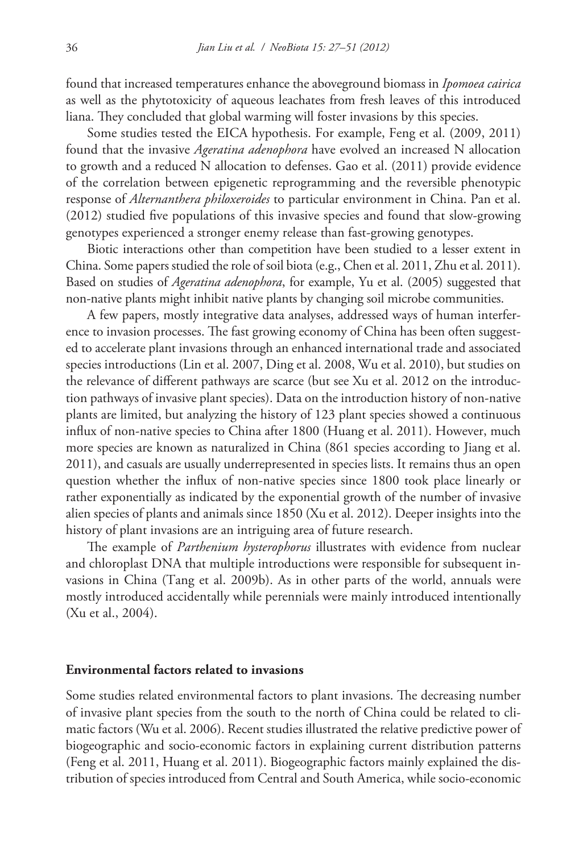found that increased temperatures enhance the aboveground biomass in *Ipomoea cairica* as well as the phytotoxicity of aqueous leachates from fresh leaves of this introduced liana. They concluded that global warming will foster invasions by this species.

Some studies tested the EICA hypothesis. For example, Feng et al. (2009, 2011) found that the invasive *Ageratina adenophora* have evolved an increased N allocation to growth and a reduced N allocation to defenses. Gao et al. (2011) provide evidence of the correlation between epigenetic reprogramming and the reversible phenotypic response of *Alternanthera philoxeroides* to particular environment in China. Pan et al. (2012) studied five populations of this invasive species and found that slow-growing genotypes experienced a stronger enemy release than fast-growing genotypes.

Biotic interactions other than competition have been studied to a lesser extent in China. Some papers studied the role of soil biota (e.g., Chen et al. 2011, Zhu et al. 2011). Based on studies of *Ageratina adenophora*, for example, Yu et al. (2005) suggested that non-native plants might inhibit native plants by changing soil microbe communities.

A few papers, mostly integrative data analyses, addressed ways of human interference to invasion processes. The fast growing economy of China has been often suggested to accelerate plant invasions through an enhanced international trade and associated species introductions (Lin et al. 2007, Ding et al. 2008, Wu et al. 2010), but studies on the relevance of different pathways are scarce (but see Xu et al. 2012 on the introduction pathways of invasive plant species). Data on the introduction history of non-native plants are limited, but analyzing the history of 123 plant species showed a continuous influx of non-native species to China after 1800 (Huang et al. 2011). However, much more species are known as naturalized in China (861 species according to Jiang et al. 2011), and casuals are usually underrepresented in species lists. It remains thus an open question whether the influx of non-native species since 1800 took place linearly or rather exponentially as indicated by the exponential growth of the number of invasive alien species of plants and animals since 1850 (Xu et al. 2012). Deeper insights into the history of plant invasions are an intriguing area of future research.

The example of *Parthenium hysterophorus* illustrates with evidence from nuclear and chloroplast DNA that multiple introductions were responsible for subsequent invasions in China (Tang et al. 2009b). As in other parts of the world, annuals were mostly introduced accidentally while perennials were mainly introduced intentionally (Xu et al., 2004).

# **Environmental factors related to invasions**

Some studies related environmental factors to plant invasions. The decreasing number of invasive plant species from the south to the north of China could be related to climatic factors (Wu et al. 2006). Recent studies illustrated the relative predictive power of biogeographic and socio-economic factors in explaining current distribution patterns (Feng et al. 2011, Huang et al. 2011). Biogeographic factors mainly explained the distribution of species introduced from Central and South America, while socio-economic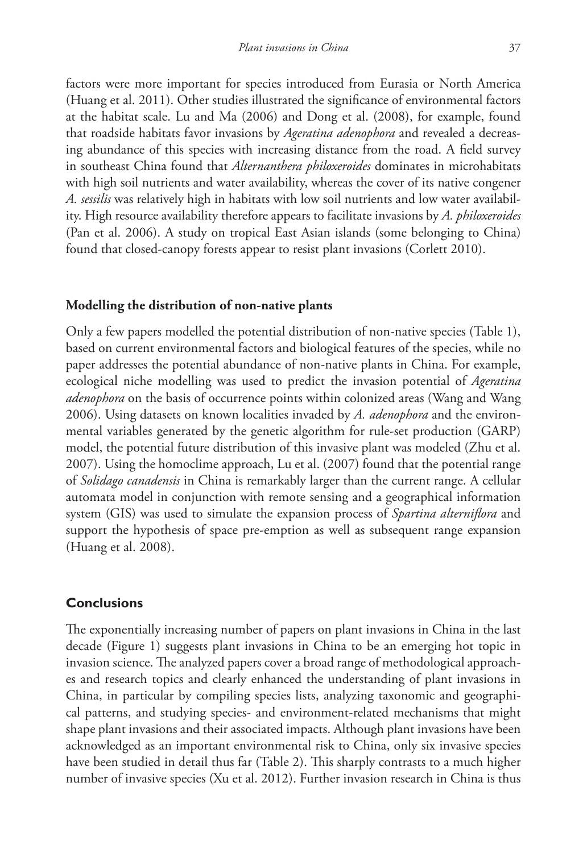factors were more important for species introduced from Eurasia or North America (Huang et al. 2011). Other studies illustrated the significance of environmental factors at the habitat scale. Lu and Ma (2006) and Dong et al. (2008), for example, found that roadside habitats favor invasions by *Ageratina adenophora* and revealed a decreasing abundance of this species with increasing distance from the road. A field survey in southeast China found that *Alternanthera philoxeroides* dominates in microhabitats with high soil nutrients and water availability, whereas the cover of its native congener *A. sessilis* was relatively high in habitats with low soil nutrients and low water availability. High resource availability therefore appears to facilitate invasions by *A. philoxeroides* (Pan et al. 2006). A study on tropical East Asian islands (some belonging to China) found that closed-canopy forests appear to resist plant invasions (Corlett 2010).

### **Modelling the distribution of non-native plants**

Only a few papers modelled the potential distribution of non-native species (Table 1), based on current environmental factors and biological features of the species, while no paper addresses the potential abundance of non-native plants in China. For example, ecological niche modelling was used to predict the invasion potential of *Ageratina adenophora* on the basis of occurrence points within colonized areas (Wang and Wang 2006). Using datasets on known localities invaded by *A. adenophora* and the environmental variables generated by the genetic algorithm for rule-set production (GARP) model, the potential future distribution of this invasive plant was modeled (Zhu et al. 2007). Using the homoclime approach, Lu et al. (2007) found that the potential range of *Solidago canadensis* in China is remarkably larger than the current range. A cellular automata model in conjunction with remote sensing and a geographical information system (GIS) was used to simulate the expansion process of *Spartina alterniflora* and support the hypothesis of space pre-emption as well as subsequent range expansion (Huang et al. 2008).

# **Conclusions**

The exponentially increasing number of papers on plant invasions in China in the last decade (Figure 1) suggests plant invasions in China to be an emerging hot topic in invasion science. The analyzed papers cover a broad range of methodological approaches and research topics and clearly enhanced the understanding of plant invasions in China, in particular by compiling species lists, analyzing taxonomic and geographical patterns, and studying species- and environment-related mechanisms that might shape plant invasions and their associated impacts. Although plant invasions have been acknowledged as an important environmental risk to China, only six invasive species have been studied in detail thus far (Table 2). This sharply contrasts to a much higher number of invasive species (Xu et al. 2012). Further invasion research in China is thus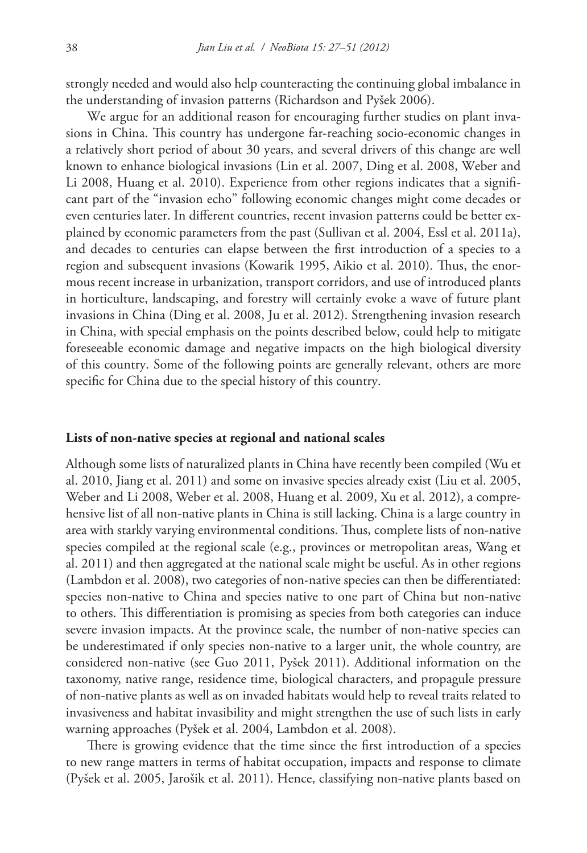strongly needed and would also help counteracting the continuing global imbalance in the understanding of invasion patterns (Richardson and Pyšek 2006).

We argue for an additional reason for encouraging further studies on plant invasions in China. This country has undergone far-reaching socio-economic changes in a relatively short period of about 30 years, and several drivers of this change are well known to enhance biological invasions (Lin et al. 2007, Ding et al. 2008, Weber and Li 2008, Huang et al. 2010). Experience from other regions indicates that a significant part of the "invasion echo" following economic changes might come decades or even centuries later. In different countries, recent invasion patterns could be better explained by economic parameters from the past (Sullivan et al. 2004, Essl et al. 2011a), and decades to centuries can elapse between the first introduction of a species to a region and subsequent invasions (Kowarik 1995, Aikio et al. 2010). Thus, the enormous recent increase in urbanization, transport corridors, and use of introduced plants in horticulture, landscaping, and forestry will certainly evoke a wave of future plant invasions in China (Ding et al. 2008, Ju et al. 2012). Strengthening invasion research in China, with special emphasis on the points described below, could help to mitigate foreseeable economic damage and negative impacts on the high biological diversity of this country. Some of the following points are generally relevant, others are more specific for China due to the special history of this country.

### **Lists of non-native species at regional and national scales**

Although some lists of naturalized plants in China have recently been compiled (Wu et al. 2010, Jiang et al. 2011) and some on invasive species already exist (Liu et al. 2005, Weber and Li 2008, Weber et al. 2008, Huang et al. 2009, Xu et al. 2012), a comprehensive list of all non-native plants in China is still lacking. China is a large country in area with starkly varying environmental conditions. Thus, complete lists of non-native species compiled at the regional scale (e.g., provinces or metropolitan areas, Wang et al. 2011) and then aggregated at the national scale might be useful. As in other regions (Lambdon et al. 2008), two categories of non-native species can then be differentiated: species non-native to China and species native to one part of China but non-native to others. This differentiation is promising as species from both categories can induce severe invasion impacts. At the province scale, the number of non-native species can be underestimated if only species non-native to a larger unit, the whole country, are considered non-native (see Guo 2011, Pyšek 2011). Additional information on the taxonomy, native range, residence time, biological characters, and propagule pressure of non-native plants as well as on invaded habitats would help to reveal traits related to invasiveness and habitat invasibility and might strengthen the use of such lists in early warning approaches (Pyšek et al. 2004, Lambdon et al. 2008).

There is growing evidence that the time since the first introduction of a species to new range matters in terms of habitat occupation, impacts and response to climate (Pyšek et al. 2005, Jarošik et al. 2011). Hence, classifying non-native plants based on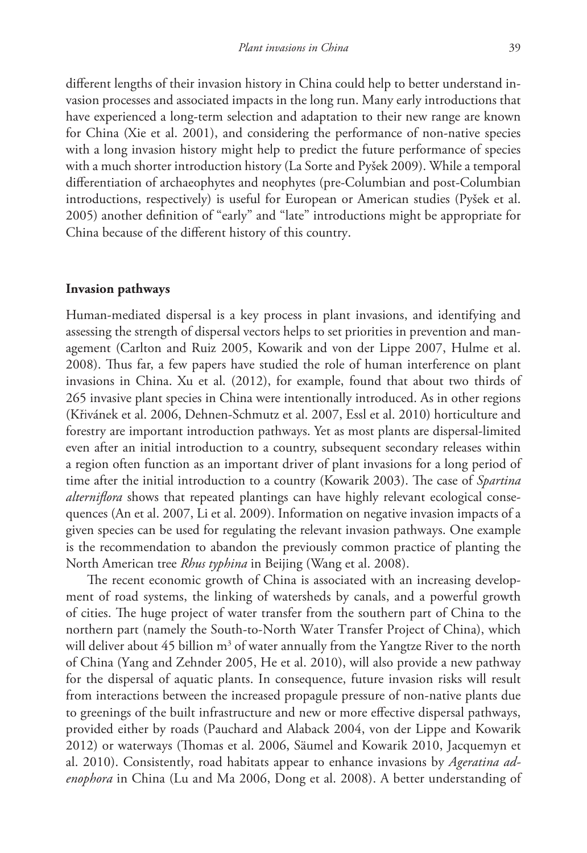different lengths of their invasion history in China could help to better understand invasion processes and associated impacts in the long run. Many early introductions that have experienced a long-term selection and adaptation to their new range are known for China (Xie et al. 2001), and considering the performance of non-native species with a long invasion history might help to predict the future performance of species with a much shorter introduction history (La Sorte and Pyšek 2009). While a temporal differentiation of archaeophytes and neophytes (pre-Columbian and post-Columbian introductions, respectively) is useful for European or American studies (Pyšek et al. 2005) another definition of "early" and "late" introductions might be appropriate for China because of the different history of this country.

# **Invasion pathways**

Human-mediated dispersal is a key process in plant invasions, and identifying and assessing the strength of dispersal vectors helps to set priorities in prevention and management (Carlton and Ruiz 2005, Kowarik and von der Lippe 2007, Hulme et al. 2008). Thus far, a few papers have studied the role of human interference on plant invasions in China. Xu et al. (2012), for example, found that about two thirds of 265 invasive plant species in China were intentionally introduced. As in other regions (Křivánek et al. 2006, Dehnen-Schmutz et al. 2007, Essl et al. 2010) horticulture and forestry are important introduction pathways. Yet as most plants are dispersal-limited even after an initial introduction to a country, subsequent secondary releases within a region often function as an important driver of plant invasions for a long period of time after the initial introduction to a country (Kowarik 2003). The case of *Spartina alterniflora* shows that repeated plantings can have highly relevant ecological consequences (An et al. 2007, Li et al. 2009). Information on negative invasion impacts of a given species can be used for regulating the relevant invasion pathways. One example is the recommendation to abandon the previously common practice of planting the North American tree *Rhus typhina* in Beijing (Wang et al. 2008).

The recent economic growth of China is associated with an increasing development of road systems, the linking of watersheds by canals, and a powerful growth of cities. The huge project of water transfer from the southern part of China to the northern part (namely the South-to-North Water Transfer Project of China), which will deliver about  $45$  billion m<sup>3</sup> of water annually from the Yangtze River to the north of China (Yang and Zehnder 2005, He et al. 2010), will also provide a new pathway for the dispersal of aquatic plants. In consequence, future invasion risks will result from interactions between the increased propagule pressure of non-native plants due to greenings of the built infrastructure and new or more effective dispersal pathways, provided either by roads (Pauchard and Alaback 2004, von der Lippe and Kowarik 2012) or waterways (Thomas et al. 2006, Säumel and Kowarik 2010, Jacquemyn et al. 2010). Consistently, road habitats appear to enhance invasions by *Ageratina adenophora* in China (Lu and Ma 2006, Dong et al. 2008). A better understanding of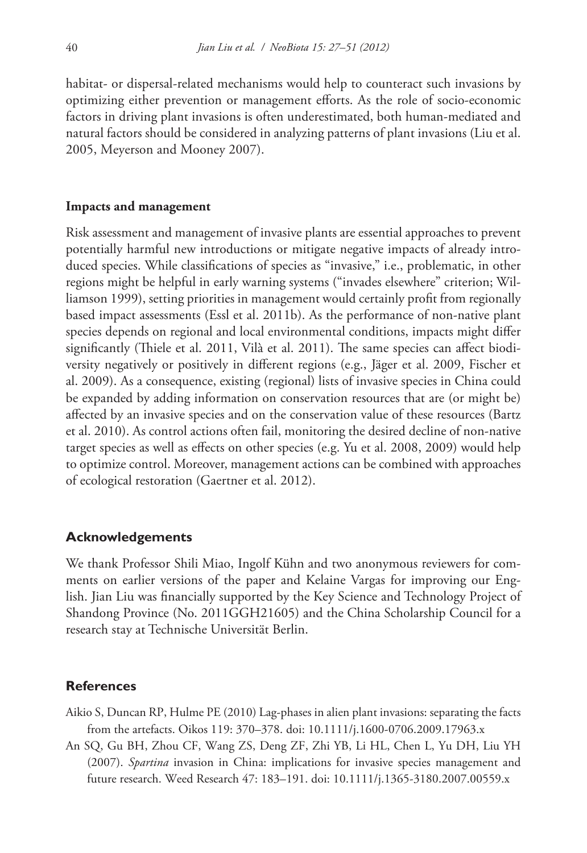habitat- or dispersal-related mechanisms would help to counteract such invasions by optimizing either prevention or management efforts. As the role of socio-economic factors in driving plant invasions is often underestimated, both human-mediated and natural factors should be considered in analyzing patterns of plant invasions (Liu et al. 2005, Meyerson and Mooney 2007).

#### **Impacts and management**

Risk assessment and management of invasive plants are essential approaches to prevent potentially harmful new introductions or mitigate negative impacts of already introduced species. While classifications of species as "invasive," i.e., problematic, in other regions might be helpful in early warning systems ("invades elsewhere" criterion; Williamson 1999), setting priorities in management would certainly profit from regionally based impact assessments (Essl et al. 2011b). As the performance of non-native plant species depends on regional and local environmental conditions, impacts might differ significantly (Thiele et al. 2011, Vilà et al. 2011). The same species can affect biodiversity negatively or positively in different regions (e.g., Jäger et al. 2009, Fischer et al. 2009). As a consequence, existing (regional) lists of invasive species in China could be expanded by adding information on conservation resources that are (or might be) affected by an invasive species and on the conservation value of these resources (Bartz et al. 2010). As control actions often fail, monitoring the desired decline of non-native target species as well as effects on other species (e.g. Yu et al. 2008, 2009) would help to optimize control. Moreover, management actions can be combined with approaches of ecological restoration (Gaertner et al. 2012).

## **Acknowledgements**

We thank Professor Shili Miao, Ingolf Kühn and two anonymous reviewers for comments on earlier versions of the paper and Kelaine Vargas for improving our English. Jian Liu was financially supported by the Key Science and Technology Project of Shandong Province (No. 2011GGH21605) and the China Scholarship Council for a research stay at Technische Universität Berlin.

# **References**

- Aikio S, Duncan RP, Hulme PE (2010) Lag-phases in alien plant invasions: separating the facts from the artefacts. Oikos 119: 370–378. [doi: 10.1111/j.1600-0706.2009.17963.x](http://dx.doi.org/10.1111/j.1600-0706.2009.17963.x)
- An SQ, Gu BH, Zhou CF, Wang ZS, Deng ZF, Zhi YB, Li HL, Chen L, Yu DH, Liu YH (2007). *Spartina* invasion in China: implications for invasive species management and future research. Weed Research 47: 183–191. [doi: 10.1111/j.1365-3180.2007.00559.x](http://dx.doi.org/10.1111/j.1365-3180.2007.00559.x)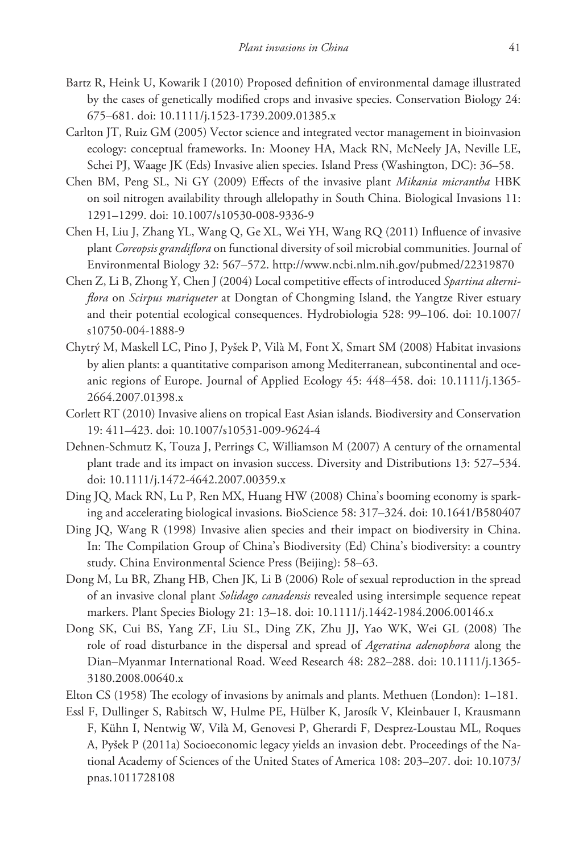- Bartz R, Heink U, Kowarik I (2010) Proposed definition of environmental damage illustrated by the cases of genetically modified crops and invasive species. Conservation Biology 24: 675–681. [doi: 10.1111/j.1523-1739.2009.01385.x](http://dx.doi.org/10.1111/j.1523-1739.2009.01385.x)
- Carlton JT, Ruiz GM (2005) Vector science and integrated vector management in bioinvasion ecology: conceptual frameworks. In: Mooney HA, Mack RN, McNeely JA, Neville LE, Schei PJ, Waage JK (Eds) Invasive alien species. Island Press (Washington, DC): 36–58.
- Chen BM, Peng SL, Ni GY (2009) Effects of the invasive plant *Mikania micrantha* HBK on soil nitrogen availability through allelopathy in South China. Biological Invasions 11: 1291–1299. [doi: 10.1007/s10530-008-9336-9](http://dx.doi.org/10.1007/s10530-008-9336-9)
- Chen H, Liu J, Zhang YL, Wang Q, Ge XL, Wei YH, Wang RQ (2011) Influence of invasive plant *Coreopsis grandiflora* on functional diversity of soil microbial communities. Journal of Environmental Biology 32: 567–572.<http://www.ncbi.nlm.nih.gov/pubmed/22319870>
- [Chen](http://www.springerlink.com/content/?Author=Zhongyi+Chen) Z, [Li](http://www.springerlink.com/content/?Author=Bo+Li) B, [Zhong](http://www.springerlink.com/content/?Author=Yang+Zhong) Y, [Chen](http://www.springerlink.com/content/?Author=Jiakuan+Chen) J (2004) Local competitive effects of introduced *Spartina alterniflora* on *Scirpus mariqueter* at Dongtan of Chongming Island, the Yangtze River estuary and their potential ecological consequences. Hydrobiologia [528:](http://www.springerlink.com/content/0018-8158/528/1-3/) 99–106. [doi: 10.1007/](http://dx.doi.org/10.1007/s10750-004-1888-9) [s10750-004-1888-9](http://dx.doi.org/10.1007/s10750-004-1888-9)
- Chytrý M, Maskell LC, Pino J, Pyšek P, Vilà M, Font X, Smart SM (2008) Habitat invasions by alien plants: a quantitative comparison among Mediterranean, subcontinental and oceanic regions of Europe. Journal of Applied Ecology 45: 448–458. [doi: 10.1111/j.1365-](http://dx.doi.org/10.1111/j.1365-2664.2007.01398.x) [2664.2007.01398.x](http://dx.doi.org/10.1111/j.1365-2664.2007.01398.x)
- Corlett RT (2010) Invasive aliens on tropical East Asian islands. Biodiversity and Conservation 19: 411–423. [doi: 10.1007/s10531-009-9624-4](http://dx.doi.org/10.1007/s10531-009-9624-4)
- Dehnen-Schmutz K, Touza J, Perrings C, Williamson M (2007) A century of the ornamental plant trade and its impact on invasion success. Diversity and Distributions 13: 527–534. [doi: 10.1111/j.1472-4642.2007.00359.x](http://dx.doi.org/10.1111/j.1472-4642.2007.00359.x)
- Ding JQ, Mack RN, Lu P, Ren MX, Huang HW (2008) China's booming economy is sparking and accelerating biological invasions. BioScience 58: 317–324. [doi: 10.1641/B580407](http://dx.doi.org/10.1641/B580407)
- Ding JQ, Wang R (1998) Invasive alien species and their impact on biodiversity in China. In: The Compilation Group of China's Biodiversity (Ed) China's biodiversity: a country study. China Environmental Science Press (Beijing): 58–63.
- Dong M, Lu BR, Zhang HB, Chen JK, Li B (2006) Role of sexual reproduction in the spread of an invasive clonal plant *Solidago canadensis* revealed using intersimple sequence repeat markers. Plant Species Biology 21: 13–18. [doi: 10.1111/j.1442-1984.2006.00146.x](http://dx.doi.org/10.1111/j.1442-1984.2006.00146.x)
- Dong SK, Cui BS, Yang ZF, Liu SL, Ding ZK, Zhu JJ, Yao WK, Wei GL (2008) The role of road disturbance in the dispersal and spread of *Ageratina adenophora* along the Dian–Myanmar International Road. Weed Research 48: 282–288. [doi: 10.1111/j.1365-](http://dx.doi.org/10.1111/j.1365-3180.2008.00640.x) [3180.2008.00640.x](http://dx.doi.org/10.1111/j.1365-3180.2008.00640.x)
- Elton CS (1958) The ecology of invasions by animals and plants. Methuen (London): 1–181.
- Essl F, Dullinger S, Rabitsch W, Hulme PE, Hülber K, Jarosík V, Kleinbauer I, Krausmann F, Kühn I, Nentwig W, Vilà M, Genovesi P, Gherardi F, Desprez-Loustau ML, Roques A, Pyšek P (2011a) Socioeconomic legacy yields an invasion debt. Proceedings of the National Academy of Sciences of the United States of America 108: 203–207. [doi: 10.1073/](http://dx.doi.org/10.1073/pnas.1011728108) [pnas.1011728108](http://dx.doi.org/10.1073/pnas.1011728108)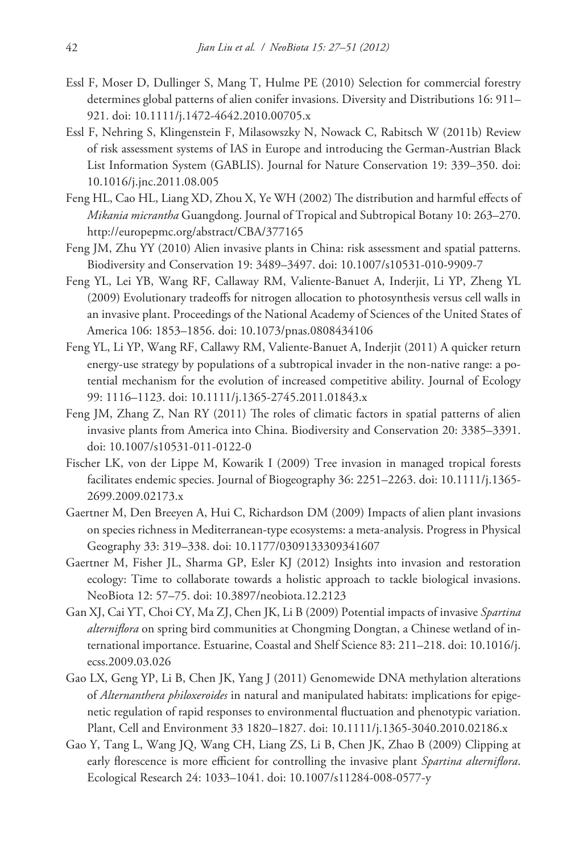- Essl F, Moser D, Dullinger S, Mang T, Hulme PE (2010) Selection for commercial forestry determines global patterns of alien conifer invasions. Diversity and Distributions 16: 911– 921. [doi: 10.1111/j.1472-4642.2010.00705.x](http://dx.doi.org/10.1111/j.1472-4642.2010.00705.x)
- Essl F, Nehring S, Klingenstein F, Milasowszky N, Nowack C, Rabitsch W (2011b) Review of risk assessment systems of IAS in Europe and introducing the German-Austrian Black List Information System (GABLIS). Journal for Nature Conservation 19: 339–350. [doi:](http://dx.doi.org/10.1016/j.jnc.2011.08.005) [10.1016/j.jnc.2011.08.005](http://dx.doi.org/10.1016/j.jnc.2011.08.005)
- Feng HL, Cao HL, Liang XD, Zhou X, Ye WH (2002) The distribution and harmful effects of *Mikania micrantha* Guangdong. Journal of Tropical and Subtropical Botany 10: 263–270. <http://europepmc.org/abstract/CBA/377165>
- Feng JM, Zhu YY (2010) Alien invasive plants in China: risk assessment and spatial patterns. Biodiversity and Conservation 19: 3489–3497. [doi: 10.1007/s10531-010-9909-7](http://dx.doi.org/10.1007/s10531-010-9909-7)
- Feng YL, Lei YB, Wang RF, Callaway RM, Valiente-Banuet A, Inderjit, Li YP, Zheng YL (2009) Evolutionary tradeoffs for nitrogen allocation to photosynthesis versus cell walls in an invasive plant. Proceedings of the National Academy of Sciences of the United States of America 106: 1853–1856. [doi: 10.1073/pnas.0808434106](http://dx.doi.org/10.1073/pnas.0808434106)
- Feng YL, Li YP, Wang RF, Callawy RM, Valiente-Banuet A, Inderjit (2011) A quicker return energy-use strategy by populations of a subtropical invader in the non-native range: a potential mechanism for the evolution of increased competitive ability. Journal of Ecology 99: 1116–1123. [doi: 10.1111/j.1365-2745.2011.01843.x](http://dx.doi.org/10.1111/j.1365-2745.2011.01843.x)
- Feng JM, Zhang Z, Nan RY (2011) The roles of climatic factors in spatial patterns of alien invasive plants from America into China. Biodiversity and Conservation 20: 3385–3391. [doi: 10.1007/s10531-011-0122-0](http://dx.doi.org/10.1007/s10531-011-0122-0)
- Fischer LK, von der Lippe M, Kowarik I (2009) Tree invasion in managed tropical forests facilitates endemic species. Journal of Biogeography 36: 2251–2263. [doi: 10.1111/j.1365-](http://dx.doi.org/10.1111/j.1365-2699.2009.02173.x) [2699.2009.02173.x](http://dx.doi.org/10.1111/j.1365-2699.2009.02173.x)
- Gaertner M, Den Breeyen A, Hui C, Richardson DM (2009) Impacts of alien plant invasions on species richness in Mediterranean-type ecosystems: a meta-analysis. Progress in Physical Geography 33: 319–338. [doi: 10.1177/0309133309341607](http://dx.doi.org/10.1177/0309133309341607)
- Gaertner M, Fisher JL, Sharma GP, Esler KJ (2012) Insights into invasion and restoration ecology: Time to collaborate towards a holistic approach to tackle biological invasions. NeoBiota 12: 57–75. [doi: 10.3897/neobiota.12.2123](http://dx.doi.org/10.3897/neobiota.12.2123)
- Gan XJ, Cai YT, Choi CY, Ma ZJ, Chen JK, Li B (2009) Potential impacts of invasive *Spartina alterniflora* on spring bird communities at Chongming Dongtan, a Chinese wetland of international importance. Estuarine, Coastal and Shelf Science 83: 211–218. [doi: 10.1016/j.](http://dx.doi.org/10.1016/j.ecss.2009.03.026) [ecss.2009.03.026](http://dx.doi.org/10.1016/j.ecss.2009.03.026)
- Gao LX, Geng YP, Li B, Chen JK, Yang J (2011) Genomewide DNA methylation alterations of *Alternanthera philoxeroides* in natural and manipulated habitats: implications for epigenetic regulation of rapid responses to environmental fluctuation and phenotypic variation. Plant, Cell and Environment 33 1820–1827. [doi: 10.1111/j.1365-3040.2010.02186.x](http://dx.doi.org/10.1111/j.1365-3040.2010.02186.x)
- Gao Y, Tang L, Wang JQ, Wang CH, Liang ZS, Li B, Chen JK, Zhao B (2009) Clipping at early florescence is more efficient for controlling the invasive plant *Spartina alterniflora*. Ecological Research 24: 1033–1041. [doi: 10.1007/s11284-008-0577-y](http://dx.doi.org/10.1007/s11284-008-0577-y)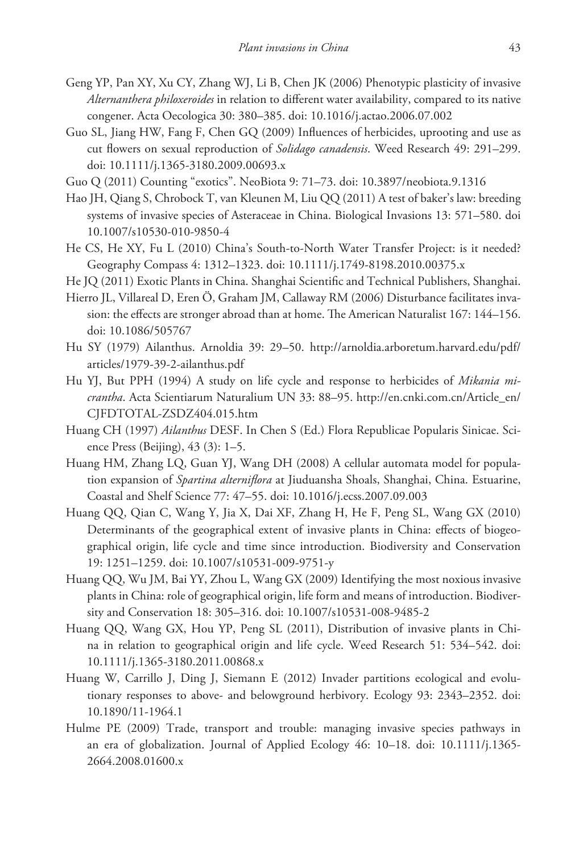- Geng YP, Pan XY, Xu CY, Zhang WJ, Li B, Chen JK (2006) Phenotypic plasticity of invasive *Alternanthera philoxeroides* in relation to different water availability, compared to its native congener. Acta Oecologica 30: 380–385. [doi: 10.1016/j.actao.2006.07.002](http://dx.doi.org/10.1016/j.actao.2006.07.002)
- Guo SL, Jiang HW, Fang F, Chen GQ (2009) Influences of herbicides, uprooting and use as cut flowers on sexual reproduction of *Solidago canadensis*. Weed Research 49: 291–299. [doi: 10.1111/j.1365-3180.2009.00693.x](http://dx.doi.org/10.1111/j.1365-3180.2009.00693.x)
- Guo Q (2011) Counting "exotics". NeoBiota 9: 71–73. [doi: 10.3897/neobiota.9.1316](http://dx.doi.org/10.3897/neobiota.9.1316)
- Hao JH, Qiang S, Chrobock T, van Kleunen M, Liu QQ (2011) A test of baker's law: breeding systems of invasive species of Asteraceae in China. Biological Invasions 13: 571–580. doi 10.1007/s10530-010-9850-4
- He CS, He XY, Fu L (2010) China's South-to-North Water Transfer Project: is it needed? Geography Compass 4: 1312–1323. [doi: 10.1111/j.1749-8198.2010.00375.x](http://dx.doi.org/10.1111/j.1749-8198.2010.00375.x)
- He JQ (2011) Exotic Plants in China. Shanghai Scientific and Technical Publishers, Shanghai.
- Hierro JL, Villareal D, Eren Ö, Graham JM, Callaway RM (2006) Disturbance facilitates invasion: the effects are stronger abroad than at home. The American Naturalist 167: 144–156. [doi: 10.1086/505767](http://dx.doi.org/10.1086/505767)
- Hu SY (1979) Ailanthus. Arnoldia 39: 29–50. [http://arnoldia.arboretum.harvard.edu/pdf/](http://arnoldia.arboretum.harvard.edu/pdf/articles/1979-39-2-ailanthus.pdf) [articles/1979-39-2-ailanthus.pdf](http://arnoldia.arboretum.harvard.edu/pdf/articles/1979-39-2-ailanthus.pdf)
- Hu YJ, But PPH (1994) A study on life cycle and response to herbicides of *Mikania micrantha*. Acta Scientiarum Naturalium UN 33: 88–95. [http://en.cnki.com.cn/Article\\_en/](http://en.cnki.com.cn/Article_en/CJFDTOTAL-ZSDZ404.015.htm) [CJFDTOTAL-ZSDZ404.015.htm](http://en.cnki.com.cn/Article_en/CJFDTOTAL-ZSDZ404.015.htm)
- Huang CH (1997) *Ailanthus* DESF. In Chen S (Ed.) Flora Republicae Popularis Sinicae. Science Press (Beijing), 43 (3): 1–5.
- Huang HM, Zhang LQ, Guan YJ, Wang DH (2008) A cellular automata model for population expansion of *Spartina alterniflora* at Jiuduansha Shoals, Shanghai, China. Estuarine, Coastal and Shelf Science 77: 47–55. [doi: 10.1016/j.ecss.2007.09.003](http://dx.doi.org/10.1016/j.ecss.2007.09.003)
- Huang QQ, Qian C, Wang Y, Jia X, Dai XF, Zhang H, He F, Peng SL, Wang GX (2010) Determinants of the geographical extent of invasive plants in China: effects of biogeographical origin, life cycle and time since introduction. Biodiversity and Conservation 19: 1251–1259. [doi: 10.1007/s10531-009-9751-y](http://dx.doi.org/10.1007/s10531-009-9751-y)
- Huang QQ, Wu JM, Bai YY, Zhou L, Wang GX (2009) Identifying the most noxious invasive plants in China: role of geographical origin, life form and means of introduction. Biodiversity and Conservation 18: 305–316. [doi: 10.1007/s10531-008-9485-2](http://dx.doi.org/10.1007/s10531-008-9485-2)
- Huang QQ, Wang GX, Hou YP, Peng SL (2011), Distribution of invasive plants in China in relation to geographical origin and life cycle. Weed Research 51: 534–542. [doi:](http://dx.doi.org/10.1111/j.1365-3180.2011.00868.x) [10.1111/j.1365-3180.2011.00868.x](http://dx.doi.org/10.1111/j.1365-3180.2011.00868.x)
- Huang W, Carrillo J, Ding J, Siemann E (2012) Invader partitions ecological and evolutionary responses to above- and belowground herbivory. Ecology 93: 2343–2352. [doi:](http://dx.doi.org/10.1890/11-1964.1) [10.1890/11-1964.1](http://dx.doi.org/10.1890/11-1964.1)
- Hulme PE (2009) Trade, transport and trouble: managing invasive species pathways in an era of globalization. Journal of Applied Ecology 46: 10–18. [doi: 10.1111/j.1365-](http://dx.doi.org/10.1111/j.1365-2664.2008.01600.x) [2664.2008.01600.x](http://dx.doi.org/10.1111/j.1365-2664.2008.01600.x)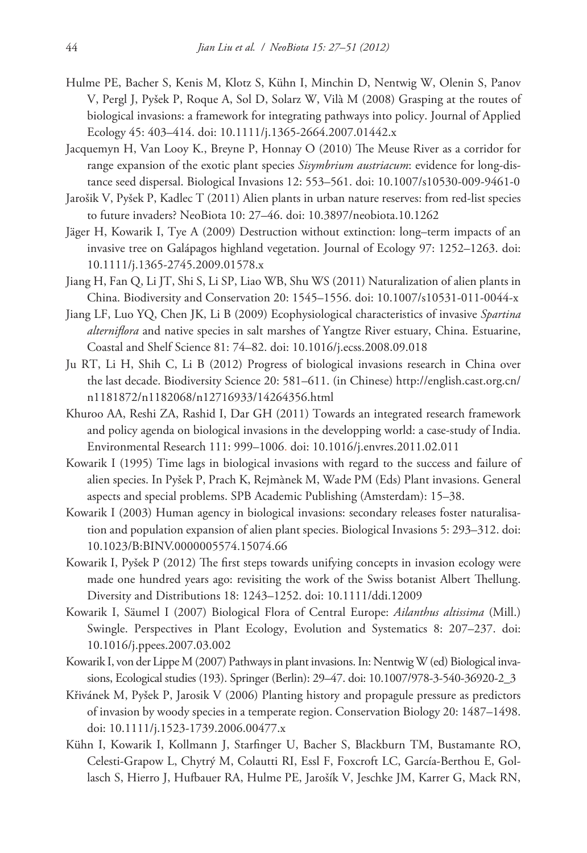- Hulme PE, Bacher S, Kenis M, Klotz S, Kühn I, Minchin D, Nentwig W, Olenin S, Panov V, Pergl J, Pyšek P, Roque A, Sol D, Solarz W, Vilà M (2008) Grasping at the routes of biological invasions: a framework for integrating pathways into policy. Journal of Applied Ecology 45: 403–414. [doi: 10.1111/j.1365-2664.2007.01442.x](http://dx.doi.org/10.1111/j.1365-2664.2007.01442.x)
- Jacquemyn H, Van Looy K., Breyne P, Honnay O (2010) The Meuse River as a corridor for range expansion of the exotic plant species *Sisymbrium austriacum*: evidence for long-distance seed dispersal. Biological Invasions 12: 553–561. [doi: 10.1007/s10530-009-9461-0](http://dx.doi.org/10.1007/s10530-009-9461-0)
- Jarošik V, Pyšek P, Kadlec T (2011) Alien plants in urban nature reserves: from red-list species to future invaders? NeoBiota 10: 27–46. [doi: 10.3897/neobiota.10.1262](http://dx.doi.org/10.3897/neobiota.10.1262)
- Jäger H, Kowarik I, Tye A (2009) Destruction without extinction: long–term impacts of an invasive tree on Galápagos highland vegetation. Journal of Ecology 97: 1252–1263. [doi:](http://dx.doi.org/10.1111/j.1365-2745.2009.01578.x) [10.1111/j.1365-2745.2009.01578.x](http://dx.doi.org/10.1111/j.1365-2745.2009.01578.x)
- Jiang H, Fan Q, Li JT, Shi S, Li SP, Liao WB, Shu WS (2011) Naturalization of alien plants in China. Biodiversity and Conservation 20: 1545–1556. [doi: 10.1007/s10531-011-0044-x](http://dx.doi.org/10.1007/s10531-011-0044-x)
- Jiang LF, Luo YQ, Chen JK, Li B (2009) Ecophysiological characteristics of invasive *Spartina alterniflora* and native species in salt marshes of Yangtze River estuary, China. Estuarine, Coastal and Shelf Science 81: 74–82. [doi: 10.1016/j.ecss.2008.09.018](http://dx.doi.org/10.1016/j.ecss.2008.09.018)
- Ju RT, Li H, Shih C, Li B (2012) Progress of biological invasions research in China over the last decade. Biodiversity Science 20: 581–611. (in Chinese) [http://english.cast.org.cn/](http://english.cast.org.cn/n1181872/n1182068/n12716933/14264356.html) [n1181872/n1182068/n12716933/14264356.html](http://english.cast.org.cn/n1181872/n1182068/n12716933/14264356.html)
- Khuroo AA, Reshi ZA, Rashid I, Dar GH (2011) Towards an integrated research framework and policy agenda on biological invasions in the developping world: a case-study of India. Environmental Research 111: 999–1006. [doi: 10.1016/j.envres.2011.02.011](http://dx.doi.org/10.1016/j.envres.2011.02.011)
- Kowarik I (1995) Time lags in biological invasions with regard to the success and failure of alien species. In Pyšek P, Prach K, Rejmànek M, Wade PM (Eds) Plant invasions. General aspects and special problems. SPB Academic Publishing (Amsterdam): 15–38.
- Kowarik I (2003) Human agency in biological invasions: secondary releases foster naturalisation and population expansion of alien plant species. Biological Invasions 5: 293–312. [doi:](http://dx.doi.org/10.1023/B:BINV.0000005574.15074.66) [10.1023/B:BINV.0000005574.15074.66](http://dx.doi.org/10.1023/B:BINV.0000005574.15074.66)
- Kowarik I, Pyšek P (2012) The first steps towards unifying concepts in invasion ecology were made one hundred years ago: revisiting the work of the Swiss botanist Albert Thellung. Diversity and Distributions 18: 1243–1252. [doi: 10.1111/ddi.12009](http://dx.doi.org/10.1111/ddi.12009)
- Kowarik I, Säumel I (2007) Biological Flora of Central Europe: *Ailanthus altissima* (Mill.) Swingle. Perspectives in Plant Ecology, Evolution and Systematics 8: 207–237. [doi:](http://dx.doi.org/10.1016/j.ppees.2007.03.002) [10.1016/j.ppees.2007.03.002](http://dx.doi.org/10.1016/j.ppees.2007.03.002)
- Kowarik I, von der Lippe M (2007) Pathways in plant invasions. In: Nentwig W (ed) Biological invasions, Ecological studies (193). Springer (Berlin): 29–47. [doi: 10.1007/978-3-540-36920-2\\_3](http://dx.doi.org/10.1007/978-3-540-36920-2_3)
- Křivánek M, Pyšek P, Jarosik V (2006) Planting history and propagule pressure as predictors of invasion by woody species in a temperate region. Conservation Biology 20: 1487–1498. [doi: 10.1111/j.1523-1739.2006.00477.x](http://dx.doi.org/10.1111/j.1523-1739.2006.00477.x)
- Kühn I, Kowarik I, Kollmann J, Starfinger U, Bacher S, Blackburn TM, Bustamante RO, Celesti-Grapow L, Chytrý M, Colautti RI, Essl F, Foxcroft LC, García-Berthou E, Gollasch S, Hierro J, Hufbauer RA, Hulme PE, Jarošík V, Jeschke JM, Karrer G, Mack RN,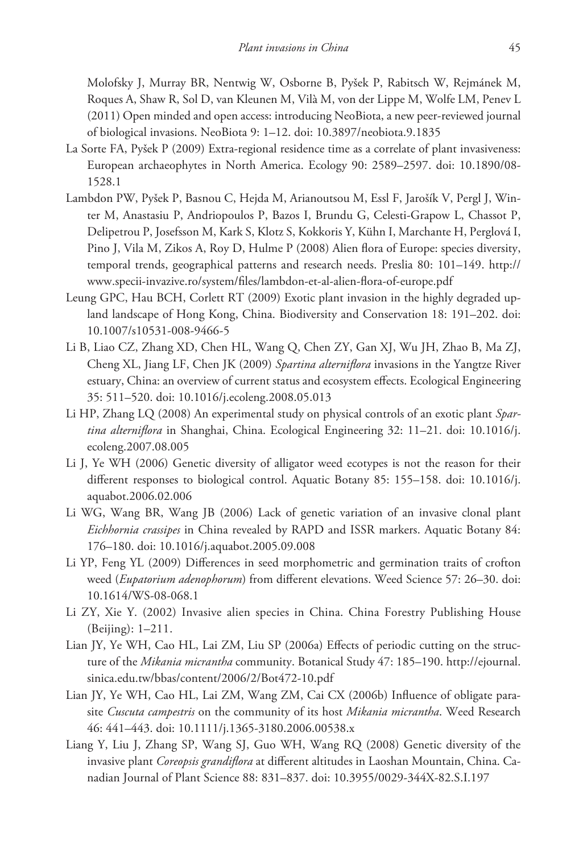Molofsky J, Murray BR, Nentwig W, Osborne B, Pyšek P, Rabitsch W, Rejmánek M, Roques A, Shaw R, Sol D, van Kleunen M, Vilà M, von der Lippe M, Wolfe LM, Penev L (2011) Open minded and open access: introducing NeoBiota, a new peer-reviewed journal of biological invasions. NeoBiota 9: 1–12. [doi: 10.3897/neobiota.9.1835](http://dx.doi.org/10.3897/neobiota.9.1835)

- La Sorte FA, Pyšek P (2009) Extra-regional residence time as a correlate of plant invasiveness: European archaeophytes in North America. Ecology 90: 2589–2597. [doi: 10.1890/08-](http://dx.doi.org/10.1890/08-1528.1) [1528.1](http://dx.doi.org/10.1890/08-1528.1)
- Lambdon PW, Pyšek P, Basnou C, Hejda M, Arianoutsou M, Essl F, Jarošík V, Pergl J, Winter M, Anastasiu P, Andriopoulos P, Bazos I, Brundu G, Celesti-Grapow L, Chassot P, Delipetrou P, Josefsson M, Kark S, Klotz S, Kokkoris Y, Kühn I, Marchante H, Perglová I, Pino J, Vila M, Zikos A, Roy D, Hulme P (2008) Alien flora of Europe: species diversity, temporal trends, geographical patterns and research needs. Preslia 80: 101–149. [http://](http://www.specii-invazive.ro/system/files/lambdon-et-al-alien-flora-of-europe.pdf) [www.specii-invazive.ro/system/files/lambdon-et-al-alien-flora-of-europe.pdf](http://www.specii-invazive.ro/system/files/lambdon-et-al-alien-flora-of-europe.pdf)
- Leung GPC, Hau BCH, Corlett RT (2009) Exotic plant invasion in the highly degraded upland landscape of Hong Kong, China. Biodiversity and Conservation 18: 191–202. [doi:](http://dx.doi.org/10.1007/s10531-008-9466-5) [10.1007/s10531-008-9466-5](http://dx.doi.org/10.1007/s10531-008-9466-5)
- Li B, Liao CZ, Zhang XD, Chen HL, Wang Q, Chen ZY, Gan XJ, Wu JH, Zhao B, Ma ZJ, Cheng XL, Jiang LF, Chen JK (2009) *Spartina alterniflora* invasions in the Yangtze River estuary, China: an overview of current status and ecosystem effects. Ecological Engineering 35: 511–520. [doi: 10.1016/j.ecoleng.2008.05.013](http://dx.doi.org/10.1016/j.ecoleng.2008.05.013)
- Li HP, Zhang LQ (2008) An experimental study on physical controls of an exotic plant *Spartina alterniflora* in Shanghai, China. Ecological Engineering 32: 11–21. [doi: 10.1016/j.](http://dx.doi.org/10.1016/j.ecoleng.2007.08.005) [ecoleng.2007.08.005](http://dx.doi.org/10.1016/j.ecoleng.2007.08.005)
- Li J, Ye WH (2006) Genetic diversity of alligator weed ecotypes is not the reason for their different responses to biological control. Aquatic Botany 85: 155–158. [doi: 10.1016/j.](http://dx.doi.org/10.1016/j.aquabot.2006.02.006) [aquabot.2006.02.006](http://dx.doi.org/10.1016/j.aquabot.2006.02.006)
- Li WG, Wang BR, Wang JB (2006) Lack of genetic variation of an invasive clonal plant *Eichhornia crassipes* in China revealed by RAPD and ISSR markers. Aquatic Botany 84: 176–180. [doi: 10.1016/j.aquabot.2005.09.008](http://dx.doi.org/10.1016/j.aquabot.2005.09.008)
- Li YP, Feng YL (2009) Differences in seed morphometric and germination traits of crofton weed (*Eupatorium adenophorum*) from different elevations. Weed Science 57: 26–30. [doi:](http://dx.doi.org/10.1614/WS-08-068.1) [10.1614/WS-08-068.1](http://dx.doi.org/10.1614/WS-08-068.1)
- Li ZY, Xie Y. (2002) Invasive alien species in China. China Forestry Publishing House (Beijing): 1–211.
- Lian JY, Ye WH, Cao HL, Lai ZM, Liu SP (2006a) Effects of periodic cutting on the structure of the *Mikania micrantha* community. Botanical Study 47: 185–190. [http://ejournal.](http://ejournal.sinica.edu.tw/bbas/content/2006/2/Bot472-10.pdf) [sinica.edu.tw/bbas/content/2006/2/Bot472-10.pdf](http://ejournal.sinica.edu.tw/bbas/content/2006/2/Bot472-10.pdf)
- Lian JY, Ye WH, Cao HL, Lai ZM, Wang ZM, Cai CX (2006b) Influence of obligate parasite *Cuscuta campestris* on the community of its host *Mikania micrantha*. Weed Research 46: 441–443. [doi: 10.1111/j.1365-3180.2006.00538.x](http://dx.doi.org/10.1111/j.1365-3180.2006.00538.x)
- Liang Y, Liu J, Zhang SP, Wang SJ, Guo WH, Wang RQ (2008) Genetic diversity of the invasive plant *Coreopsis grandiflora* at different altitudes in Laoshan Mountain, China. Canadian Journal of Plant Science 88: 831–837. [doi: 10.3955/0029-344X-82.S.I.197](http://dx.doi.org/10.3955/0029-344X-82.S.I.197)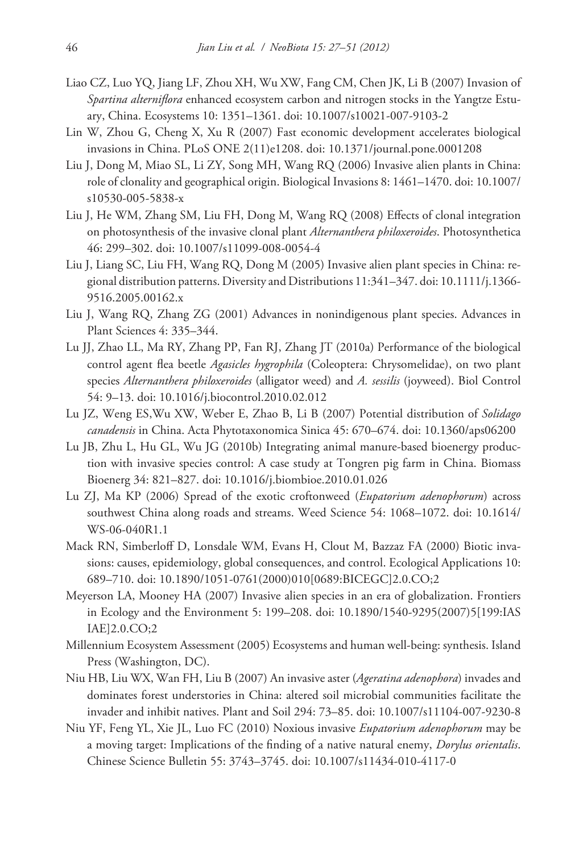- Liao CZ, Luo YQ, Jiang LF, Zhou XH, Wu XW, Fang CM, Chen JK, Li B (2007) Invasion of *Spartina alterniflora* enhanced ecosystem carbon and nitrogen stocks in the Yangtze Estuary, China. Ecosystems 10: 1351–1361. [doi: 10.1007/s10021-007-9103-2](http://dx.doi.org/10.1007/s10021-007-9103-2)
- Lin W, Zhou G, Cheng X, Xu R (2007) Fast economic development accelerates biological invasions in China. PLoS ONE 2(11)e1208. [doi: 10.1371/journal.pone.0001208](http://dx.doi.org/10.1371/journal.pone.0001208)
- Liu J, Dong M, Miao SL, Li ZY, Song MH, Wang RQ (2006) Invasive alien plants in China: role of clonality and geographical origin. Biological Invasions 8: 1461–1470. [doi: 10.1007/](http://dx.doi.org/10.1007/s10530-005-5838-x) [s10530-005-5838-x](http://dx.doi.org/10.1007/s10530-005-5838-x)
- Liu J, He WM, Zhang SM, Liu FH, Dong M, Wang RQ (2008) Effects of clonal integration on photosynthesis of the invasive clonal plant *Alternanthera philoxeroides*. Photosynthetica 46: 299–302. [doi: 10.1007/s11099-008-0054-4](http://dx.doi.org/10.1007/s11099-008-0054-4)
- Liu J, Liang SC, Liu FH, Wang RQ, Dong M (2005) Invasive alien plant species in China: regional distribution patterns. Diversity and Distributions 11:341–347. [doi: 10.1111/j.1366-](http://dx.doi.org/10.1111/j.1366-9516.2005.00162.x) [9516.2005.00162.x](http://dx.doi.org/10.1111/j.1366-9516.2005.00162.x)
- Liu J, Wang RQ, Zhang ZG (2001) Advances in nonindigenous plant species. Advances in Plant Sciences 4: 335–344.
- Lu JJ, Zhao LL, Ma RY, Zhang PP, Fan RJ, Zhang JT (2010a) Performance of the biological control agent flea beetle *Agasicles hygrophila* (Coleoptera: Chrysomelidae), on two plant species *Alternanthera philoxeroides* (alligator weed) and *A. sessilis* (joyweed). Biol Control 54: 9–13. [doi: 10.1016/j.biocontrol.2010.02.012](http://dx.doi.org/10.1016/j.biocontrol.2010.02.012)
- Lu JZ, Weng ES,Wu XW, Weber E, Zhao B, Li B (2007) Potential distribution of *Solidago canadensis* in China. Acta Phytotaxonomica Sinica 45: 670–674. [doi: 10.1360/aps06200](http://dx.doi.org/10.1360/aps06200)
- Lu JB, Zhu L, Hu GL, Wu JG (2010b) Integrating animal manure-based bioenergy production with invasive species control: A case study at Tongren pig farm in China. Biomass Bioenerg 34: 821–827. [doi: 10.1016/j.biombioe.2010.01.026](http://dx.doi.org/10.1016/j.biombioe.2010.01.026)
- Lu ZJ, Ma KP (2006) Spread of the exotic croftonweed (*Eupatorium adenophorum*) across southwest China along roads and streams. Weed Science 54: 1068–1072. [doi: 10.1614/](http://dx.doi.org/10.1614/WS-06-040R1.1) [WS-06-040R1.1](http://dx.doi.org/10.1614/WS-06-040R1.1)
- Mack RN, Simberloff D, Lonsdale WM, Evans H, Clout M, Bazzaz FA (2000) Biotic invasions: causes, epidemiology, global consequences, and control. Ecological Applications 10: 689–710. [doi: 10.1890/1051-0761\(2000\)010\[0689:BICEGC\]2.0.CO;2](http://dx.doi.org/10.1890/1051-0761(2000)010[0689:BICEGC]2.0.CO;2)
- Meyerson LA, Mooney HA (2007) Invasive alien species in an era of globalization. Frontiers in Ecology and the Environment 5: 199–208. [doi: 10.1890/1540-9295\(2007\)5\[199:IAS](http://dx.doi.org/10.1890/1540-9295(2007)5[199:IASIAE]2.0.CO;2) [IAE\]2.0.CO;2](http://dx.doi.org/10.1890/1540-9295(2007)5[199:IASIAE]2.0.CO;2)
- Millennium Ecosystem Assessment (2005) Ecosystems and human well-being: synthesis. Island Press (Washington, DC).
- Niu HB, Liu WX, Wan FH, Liu B (2007) An invasive aster (*Ageratina adenophora*) invades and dominates forest understories in China: altered soil microbial communities facilitate the invader and inhibit natives. Plant and Soil 294: 73–85. [doi: 10.1007/s11104-007-9230-8](http://dx.doi.org/10.1007/s11104-007-9230-8)
- Niu YF, Feng YL, Xie JL, Luo FC (2010) Noxious invasive *Eupatorium adenophorum* may be a moving target: Implications of the finding of a native natural enemy, *Dorylus orientalis*. Chinese Science Bulletin 55: 3743–3745. [doi: 10.1007/s11434-010-4117-0](http://dx.doi.org/10.1007/s11434-010-4117-0)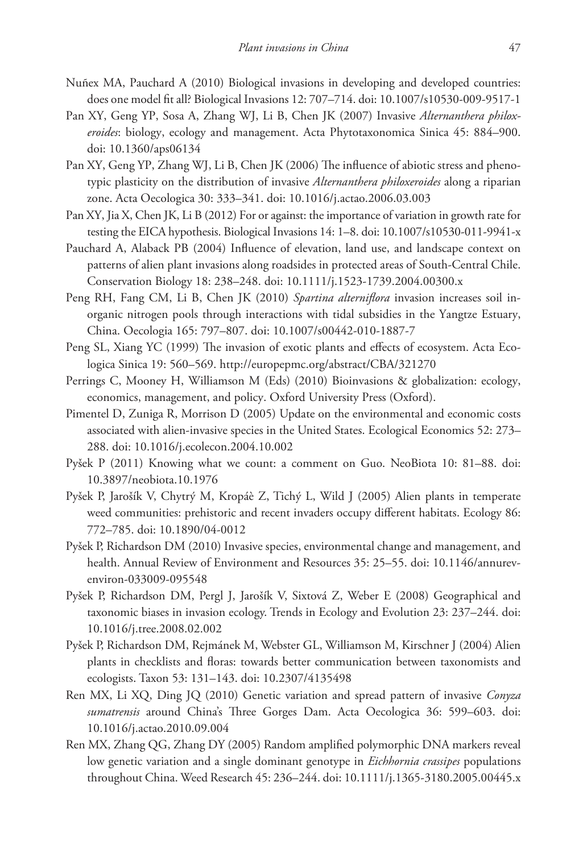- Nuñex MA, Pauchard A (2010) Biological invasions in developing and developed countries: does one model fit all? Biological Invasions 12: 707–714. [doi: 10.1007/s10530-009-9517-1](http://dx.doi.org/10.1007/s10530-009-9517-1)
- Pan XY, Geng YP, Sosa A, Zhang WJ, Li B, Chen JK (2007) Invasive *Alternanthera philoxeroides*: biology, ecology and management. Acta Phytotaxonomica Sinica 45: 884–900. [doi: 10.1360/aps06134](http://dx.doi.org/10.1360/aps06134)
- Pan XY, Geng YP, Zhang WJ, Li B, Chen JK (2006) The influence of abiotic stress and phenotypic plasticity on the distribution of invasive *Alternanthera philoxeroides* along a riparian zone. Acta Oecologica 30: 333–341. [doi: 10.1016/j.actao.2006.03.003](http://dx.doi.org/10.1016/j.actao.2006.03.003)
- Pan XY, Jia X, Chen JK, Li B (2012) For or against: the importance of variation in growth rate for testing the EICA hypothesis. Biological Invasions 14: 1–8. [doi: 10.1007/s10530-011-9941-x](http://dx.doi.org/10.1007/s10530-011-9941-x)
- Pauchard A, Alaback PB (2004) Influence of elevation, land use, and landscape context on patterns of alien plant invasions along roadsides in protected areas of South-Central Chile. Conservation Biology 18: 238–248. [doi: 10.1111/j.1523-1739.2004.00300.x](http://dx.doi.org/10.1111/j.1523-1739.2004.00300.x)
- Peng RH, Fang CM, Li B, Chen JK (2010) *Spartina alterniflora* invasion increases soil inorganic nitrogen pools through interactions with tidal subsidies in the Yangtze Estuary, China. Oecologia 165: 797–807. [doi: 10.1007/s00442-010-1887-7](http://dx.doi.org/10.1007/s00442-010-1887-7)
- Peng SL, Xiang YC (1999) The invasion of exotic plants and effects of ecosystem. Acta Ecologica Sinica 19: 560–569.<http://europepmc.org/abstract/CBA/321270>
- Perrings C, Mooney H, Williamson M (Eds) (2010) Bioinvasions & globalization: ecology, economics, management, and policy. Oxford University Press (Oxford).
- Pimentel D, Zuniga R, Morrison D (2005) Update on the environmental and economic costs associated with alien-invasive species in the United States. Ecological Economics 52: 273– 288. [doi: 10.1016/j.ecolecon.2004.10.002](http://dx.doi.org/10.1016/j.ecolecon.2004.10.002)
- Pyšek P (2011) Knowing what we count: a comment on Guo. NeoBiota 10: 81–88. [doi:](http://dx.doi.org/10.3897/neobiota.10.1976) [10.3897/neobiota.10.1976](http://dx.doi.org/10.3897/neobiota.10.1976)
- Pyšek P, Jarošík V, Chytrý M, Kropáè Z, Tichý L, Wild J (2005) Alien plants in temperate weed communities: prehistoric and recent invaders occupy different habitats. Ecology 86: 772–785. [doi: 10.1890/04-0012](http://dx.doi.org/10.1890/04-0012)
- Pyšek P, Richardson DM (2010) Invasive species, environmental change and management, and health. Annual Review of Environment and Resources 35: 25–55. [doi: 10.1146/annurev](http://dx.doi.org/10.1146/annurev-environ-033009-095548)[environ-033009-095548](http://dx.doi.org/10.1146/annurev-environ-033009-095548)
- Pyšek P, Richardson DM, Pergl J, Jarošík V, Sixtová Z, Weber E (2008) Geographical and taxonomic biases in invasion ecology. Trends in Ecology and Evolution 23: 237–244. [doi:](http://dx.doi.org/10.1016/j.tree.2008.02.002) [10.1016/j.tree.2008.02.002](http://dx.doi.org/10.1016/j.tree.2008.02.002)
- Pyšek P, Richardson DM, Rejmánek M, Webster GL, Williamson M, Kirschner J (2004) Alien plants in checklists and floras: towards better communication between taxonomists and ecologists. Taxon 53: 131–143. [doi: 10.2307/4135498](http://dx.doi.org/10.2307/4135498)
- Ren MX, Li XQ, Ding JQ (2010) Genetic variation and spread pattern of invasive *Conyza sumatrensis* around China's Three Gorges Dam. Acta Oecologica 36: 599–603. [doi:](http://dx.doi.org/10.1016/j.actao.2010.09.004) [10.1016/j.actao.2010.09.004](http://dx.doi.org/10.1016/j.actao.2010.09.004)
- Ren MX, Zhang QG, Zhang DY (2005) Random amplified polymorphic DNA markers reveal low genetic variation and a single dominant genotype in *Eichhornia crassipes* populations throughout China. Weed Research 45: 236–244. [doi: 10.1111/j.1365-3180.2005.00445.x](http://dx.doi.org/10.1111/j.1365-3180.2005.00445.x)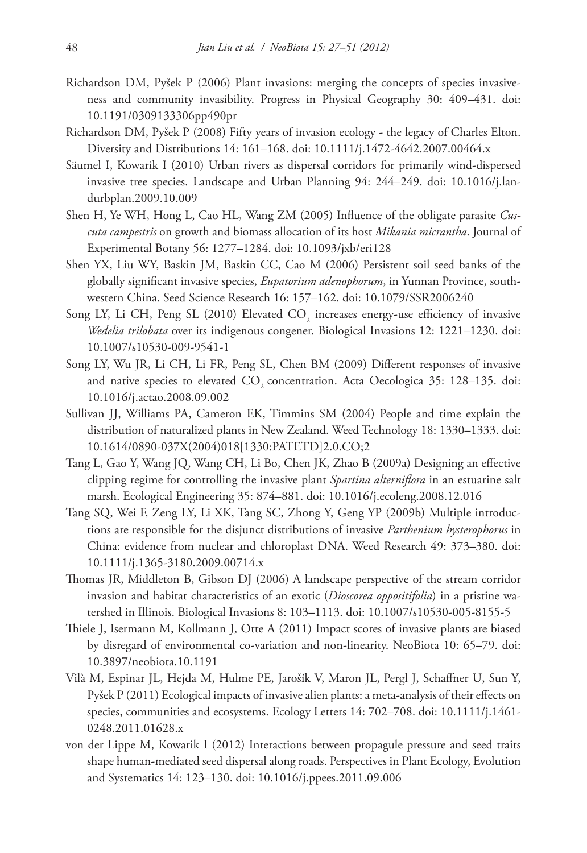- Richardson DM, Pyšek P (2006) Plant invasions: merging the concepts of species invasiveness and community invasibility. Progress in Physical Geography 30: 409–431. [doi:](http://dx.doi.org/10.1191/0309133306pp490pr) [10.1191/0309133306pp490pr](http://dx.doi.org/10.1191/0309133306pp490pr)
- Richardson DM, Pyšek P (2008) Fifty years of invasion ecology the legacy of Charles Elton. Diversity and Distributions 14: 161–168. [doi: 10.1111/j.1472-4642.2007.00464.x](http://dx.doi.org/10.1111/j.1472-4642.2007.00464.x)
- Säumel I, Kowarik I (2010) Urban rivers as dispersal corridors for primarily wind-dispersed invasive tree species. Landscape and Urban Planning 94: 244–249. [doi: 10.1016/j.lan](http://dx.doi.org/10.1016/j.landurbplan.2009.10.009)[durbplan.2009.10.009](http://dx.doi.org/10.1016/j.landurbplan.2009.10.009)
- Shen H, Ye WH, Hong L, Cao HL, Wang ZM (2005) Influence of the obligate parasite *Cuscuta campestris* on growth and biomass allocation of its host *Mikania micrantha*. Journal of Experimental Botany 56: 1277–1284. [doi: 10.1093/jxb/eri128](http://dx.doi.org/10.1093/jxb/eri128)
- Shen YX, Liu WY, Baskin JM, Baskin CC, Cao M (2006) Persistent soil seed banks of the globally significant invasive species, *Eupatorium adenophorum*, in Yunnan Province, southwestern China. Seed Science Research 16: 157–162. [doi: 10.1079/SSR2006240](http://dx.doi.org/10.1079/SSR2006240)
- Song LY, Li CH, Peng SL (2010) Elevated  $\text{CO}_2$  increases energy-use efficiency of invasive *Wedelia trilobata* over its indigenous congener. Biological Invasions 12: 1221–1230. [doi:](http://dx.doi.org/10.1007/s10530-009-9541-1) [10.1007/s10530-009-9541-1](http://dx.doi.org/10.1007/s10530-009-9541-1)
- Song LY, Wu JR, Li CH, Li FR, Peng SL, Chen BM (2009) Different responses of invasive and native species to elevated CO<sub>2</sub> concentration. Acta Oecologica 35: 128-135. [doi:](http://dx.doi.org/10.1016/j.actao.2008.09.002) [10.1016/j.actao.2008.09.002](http://dx.doi.org/10.1016/j.actao.2008.09.002)
- Sullivan JJ, Williams PA, Cameron EK, Timmins SM (2004) People and time explain the distribution of naturalized plants in New Zealand. Weed Technology 18: 1330–1333. [doi:](http://dx.doi.org/10.1614/0890-037X(2004)018[1330:PATETD]2.0.CO;2) [10.1614/0890-037X\(2004\)018\[1330:PATETD\]2.0.CO;2](http://dx.doi.org/10.1614/0890-037X(2004)018[1330:PATETD]2.0.CO;2)
- Tang L, Gao Y, Wang JQ, Wang CH, Li Bo, Chen JK, Zhao B (2009a) Designing an effective clipping regime for controlling the invasive plant *Spartina alterniflora* in an estuarine salt marsh. Ecological Engineering 35: 874–881. [doi: 10.1016/j.ecoleng.2008.12.016](http://dx.doi.org/10.1016/j.ecoleng.2008.12.016)
- Tang SQ, Wei F, Zeng LY, Li XK, Tang SC, Zhong Y, Geng YP (2009b) Multiple introductions are responsible for the disjunct distributions of invasive *Parthenium hysterophorus* in China: evidence from nuclear and chloroplast DNA. Weed Research 49: 373–380. [doi:](http://dx.doi.org/10.1111/j.1365-3180.2009.00714.x) [10.1111/j.1365-3180.2009.00714.x](http://dx.doi.org/10.1111/j.1365-3180.2009.00714.x)
- Thomas JR, Middleton B, Gibson DJ (2006) A landscape perspective of the stream corridor invasion and habitat characteristics of an exotic (*Dioscorea oppositifolia*) in a pristine watershed in Illinois. Biological Invasions 8: 103–1113. [doi: 10.1007/s10530-005-8155-5](http://dx.doi.org/10.1007/s10530-005-8155-5)
- Thiele J, Isermann M, Kollmann J, Otte A (2011) Impact scores of invasive plants are biased by disregard of environmental co-variation and non-linearity. NeoBiota 10: 65–79. [doi:](http://dx.doi.org/10.3897/neobiota.10.1191) [10.3897/neobiota.10.1191](http://dx.doi.org/10.3897/neobiota.10.1191)
- Vilà M, Espinar JL, Hejda M, Hulme PE, Jarošík V, Maron JL, Pergl J, Schaffner U, Sun Y, Pyšek P (2011) Ecological impacts of invasive alien plants: a meta-analysis of their effects on species, communities and ecosystems. Ecology Letters 14: 702–708. [doi: 10.1111/j.1461-](http://dx.doi.org/10.1111/j.1461-0248.2011.01628.x) [0248.2011.01628.x](http://dx.doi.org/10.1111/j.1461-0248.2011.01628.x)
- von der Lippe M, Kowarik I (2012) Interactions between propagule pressure and seed traits shape human-mediated seed dispersal along roads. Perspectives in Plant Ecology, Evolution and Systematics 14: 123–130. [doi: 10.1016/j.ppees.2011.09.006](http://dx.doi.org/10.1016/j.ppees.2011.09.006)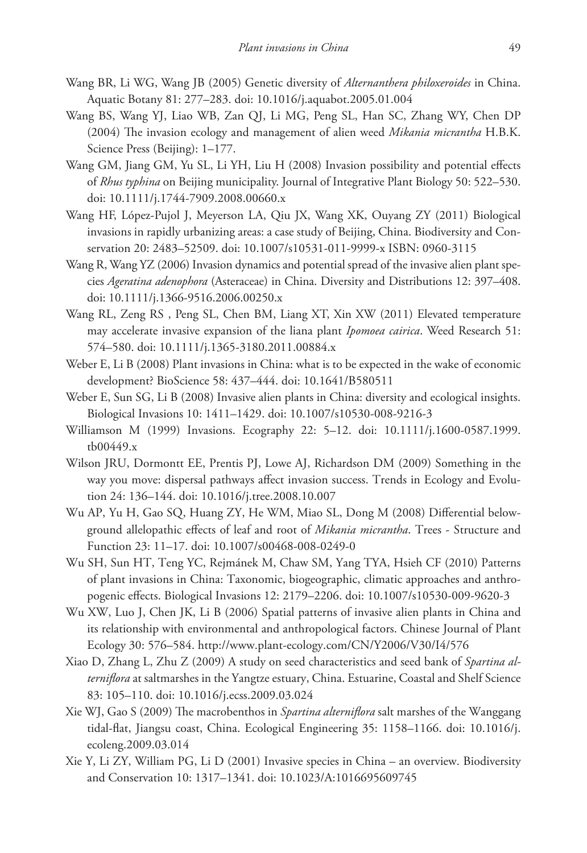- Wang BR, Li WG, Wang JB (2005) Genetic diversity of *Alternanthera philoxeroides* in China. Aquatic Botany 81: 277–283. [doi: 10.1016/j.aquabot.2005.01.004](http://dx.doi.org/10.1016/j.aquabot.2005.01.004)
- Wang BS, Wang YJ, Liao WB, Zan QJ, Li MG, Peng SL, Han SC, Zhang WY, Chen DP (2004) The invasion ecology and management of alien weed *Mikania micrantha* H.B.K. Science Press (Beijing): 1–177.
- Wang GM, Jiang GM, Yu SL, Li YH, Liu H (2008) Invasion possibility and potential effects of *Rhus typhina* on Beijing municipality. Journal of Integrative Plant Biology 50: 522–530. [doi: 10.1111/j.1744-7909.2008.00660.x](http://dx.doi.org/10.1111/j.1744-7909.2008.00660.x)
- Wang HF, López-Pujol J, Meyerson LA, Qiu JX, Wang XK, Ouyang ZY (2011) Biological invasions in rapidly urbanizing areas: a case study of Beijing, China. Biodiversity and Conservation 20: 2483–52509. [doi: 10.1007/s10531-011-9999-x](http://dx.doi.org/10.1007/s10531-011-9999-x) ISBN: 0960-3115
- Wang R, Wang YZ (2006) Invasion dynamics and potential spread of the invasive alien plant species *Ageratina adenophora* (Asteraceae) in China. Diversity and Distributions 12: 397–408. [doi: 10.1111/j.1366-9516.2006.00250.x](http://dx.doi.org/10.1111/j.1366-9516.2006.00250.x)
- Wang RL, Zeng RS , Peng SL, Chen BM, Liang XT, Xin XW (2011) Elevated temperature may accelerate invasive expansion of the liana plant *Ipomoea cairica*. Weed Research 51: 574–580. [doi: 10.1111/j.1365-3180.2011.00884.x](http://dx.doi.org/10.1111/j.1365-3180.2011.00884.x)
- Weber E, Li B (2008) Plant invasions in China: what is to be expected in the wake of economic development? BioScience 58: 437–444. [doi: 10.1641/B580511](http://dx.doi.org/10.1641/B580511)
- Weber E, Sun SG, Li B (2008) Invasive alien plants in China: diversity and ecological insights. Biological Invasions 10: 1411–1429. [doi: 10.1007/s10530-008-9216-3](http://dx.doi.org/10.1007/s10530-008-9216-3)
- Williamson M (1999) Invasions. Ecography 22: 5–12. [doi: 10.1111/j.1600-0587.1999.](http://dx.doi.org/10.1111/j.1600-0587.1999.tb00449.x) [tb00449.x](http://dx.doi.org/10.1111/j.1600-0587.1999.tb00449.x)
- Wilson JRU, Dormontt EE, Prentis PJ, Lowe AJ, Richardson DM (2009) Something in the way you move: dispersal pathways affect invasion success. Trends in Ecology and Evolution 24: 136–144. [doi: 10.1016/j.tree.2008.10.007](http://dx.doi.org/10.1016/j.tree.2008.10.007)
- Wu AP, Yu H, Gao SQ, Huang ZY, He WM, Miao SL, Dong M (2008) Differential belowground allelopathic effects of leaf and root of *Mikania micrantha*. Trees - Structure and Function 23: 11–17. [doi: 10.1007/s00468-008-0249-0](http://dx.doi.org/10.1007/s00468-008-0249-0)
- Wu SH, Sun HT, Teng YC, Rejmánek M, Chaw SM, Yang TYA, Hsieh CF (2010) Patterns of plant invasions in China: Taxonomic, biogeographic, climatic approaches and anthropogenic effects. Biological Invasions 12: 2179–2206. [doi: 10.1007/s10530-009-9620-3](http://dx.doi.org/10.1007/s10530-009-9620-3)
- Wu XW, Luo J, Chen JK, Li B (2006) Spatial patterns of invasive alien plants in China and its relationship with environmental and anthropological factors. Chinese Journal of Plant Ecology 30: 576–584. <http://www.plant-ecology.com/CN/Y2006/V30/I4/576>
- Xiao D, Zhang L, Zhu Z (2009) A study on seed characteristics and seed bank of *Spartina alterniflora* at saltmarshes in the Yangtze estuary, China. Estuarine, Coastal and Shelf Science 83: 105–110. [doi: 10.1016/j.ecss.2009.03.024](http://dx.doi.org/10.1016/j.ecss.2009.03.024)
- Xie WJ, Gao S (2009) The macrobenthos in *Spartina alterniflora* salt marshes of the Wanggang tidal-flat, Jiangsu coast, China. Ecological Engineering 35: 1158–1166. [doi: 10.1016/j.](http://dx.doi.org/10.1016/j.ecoleng.2009.03.014) [ecoleng.2009.03.014](http://dx.doi.org/10.1016/j.ecoleng.2009.03.014)
- Xie Y, Li ZY, William PG, Li D (2001) Invasive species in China an overview. Biodiversity and Conservation 10: 1317–1341. [doi: 10.1023/A:1016695609745](http://dx.doi.org/10.1023/A:1016695609745)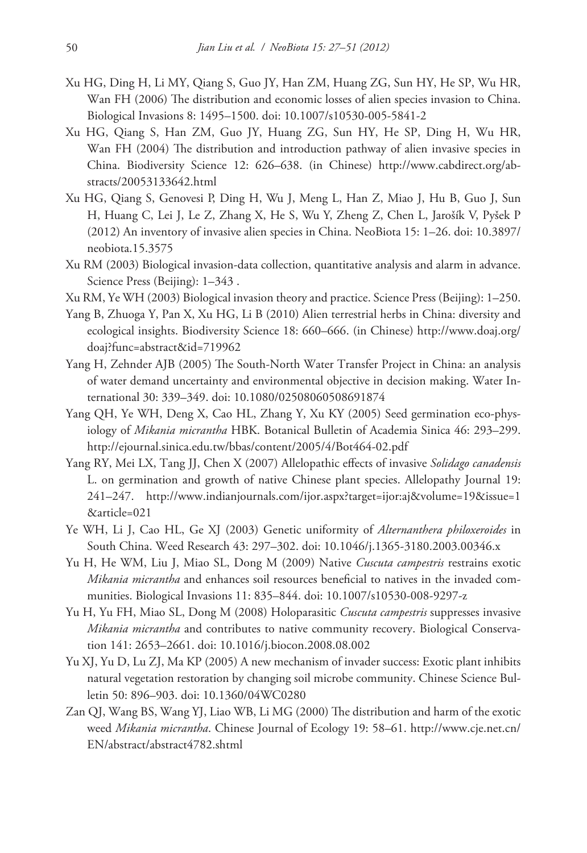- Xu HG, Ding H, Li MY, Qiang S, Guo JY, Han ZM, Huang ZG, Sun HY, He SP, Wu HR, Wan FH (2006) The distribution and economic losses of alien species invasion to China. Biological Invasions 8: 1495–1500. [doi: 10.1007/s10530-005-5841-2](http://dx.doi.org/10.1007/s10530-005-5841-2)
- Xu HG, Qiang S, Han ZM, Guo JY, Huang ZG, Sun HY, He SP, Ding H, Wu HR, Wan FH (2004) The distribution and introduction pathway of alien invasive species in China. Biodiversity Science 12: 626–638. (in Chinese) [http://www.cabdirect.org/ab](http://www.cabdirect.org/abstracts/20053133642.html)[stracts/20053133642.html](http://www.cabdirect.org/abstracts/20053133642.html)
- Xu HG, Qiang S, Genovesi P, Ding H, Wu J, Meng L, Han Z, Miao J, Hu B, Guo J, Sun H, Huang C, Lei J, Le Z, Zhang X, He S, Wu Y, Zheng Z, Chen L, Jarošík V, Pyšek P (2012) An inventory of invasive alien species in China. NeoBiota 15: 1–26. [doi: 10.3897/](http://dx.doi.org/10.3897/neobiota.15.3575) [neobiota.15.3575](http://dx.doi.org/10.3897/neobiota.15.3575)
- Xu RM (2003) Biological invasion-data collection, quantitative analysis and alarm in advance. Science Press (Beijing): 1–343 .
- Xu RM, Ye WH (2003) Biological invasion theory and practice. Science Press (Beijing): 1–250.
- Yang B, Zhuoga Y, Pan X, Xu HG, Li B (2010) Alien terrestrial herbs in China: diversity and ecological insights. Biodiversity Science 18: 660–666. (in Chinese) [http://www.doaj.org/](http://www.doaj.org/doaj?func=abstract&id=719962) [doaj?func=abstract&id=719962](http://www.doaj.org/doaj?func=abstract&id=719962)
- Yang H, Zehnder AJB (2005) The South-North Water Transfer Project in China: an analysis of water demand uncertainty and environmental objective in decision making. Water International 30: 339–349. [doi: 10.1080/02508060508691874](http://dx.doi.org/10.1080/02508060508691874)
- Yang QH, Ye WH, Deng X, Cao HL, Zhang Y, Xu KY (2005) Seed germination eco-physiology of *Mikania micrantha* HBK. Botanical Bulletin of Academia Sinica 46: 293–299. <http://ejournal.sinica.edu.tw/bbas/content/2005/4/Bot464-02.pdf>
- Yang RY, Mei LX, Tang JJ, Chen X (2007) Allelopathic effects of invasive *Solidago canadensis* L. on germination and growth of native Chinese plant species. Allelopathy Journal 19: 241–247. [http://www.indianjournals.com/ijor.aspx?target=ijor:aj&volume=19&issue=1](http://www.indianjournals.com/ijor.aspx?target=ijor:aj&volume=19&issue=1&article=021) [&article=021](http://www.indianjournals.com/ijor.aspx?target=ijor:aj&volume=19&issue=1&article=021)
- Ye WH, Li J, Cao HL, Ge XJ (2003) Genetic uniformity of *Alternanthera philoxeroides* in South China. Weed Research 43: 297–302. [doi: 10.1046/j.1365-3180.2003.00346.x](http://dx.doi.org/10.1046/j.1365-3180.2003.00346.x)
- Yu H, He WM, Liu J, Miao SL, Dong M (2009) Native *Cuscuta campestris* restrains exotic *Mikania micrantha* and enhances soil resources beneficial to natives in the invaded communities. Biological Invasions 11: 835–844. [doi: 10.1007/s10530-008-9297-z](http://dx.doi.org/10.1007/s10530-008-9297-z)
- Yu H, Yu FH, Miao SL, Dong M (2008) Holoparasitic *Cuscuta campestris* suppresses invasive *Mikania micrantha* and contributes to native community recovery. Biological Conservation 141: 2653–2661. [doi: 10.1016/j.biocon.2008.08.002](http://dx.doi.org/10.1016/j.biocon.2008.08.002)
- Yu XJ, Yu D, Lu ZJ, Ma KP (2005) A new mechanism of invader success: Exotic plant inhibits natural vegetation restoration by changing soil microbe community. Chinese Science Bulletin 50: 896–903. [doi: 10.1360/04WC0280](http://dx.doi.org/10.1360/04WC0280)
- Zan QJ, Wang BS, Wang YJ, Liao WB, Li MG (2000) The distribution and harm of the exotic weed *Mikania micrantha*. Chinese Journal of Ecology 19: 58–61. [http://www.cje.net.cn/](http://www.cje.net.cn/EN/abstract/abstract4782.shtml) [EN/abstract/abstract4782.shtml](http://www.cje.net.cn/EN/abstract/abstract4782.shtml)